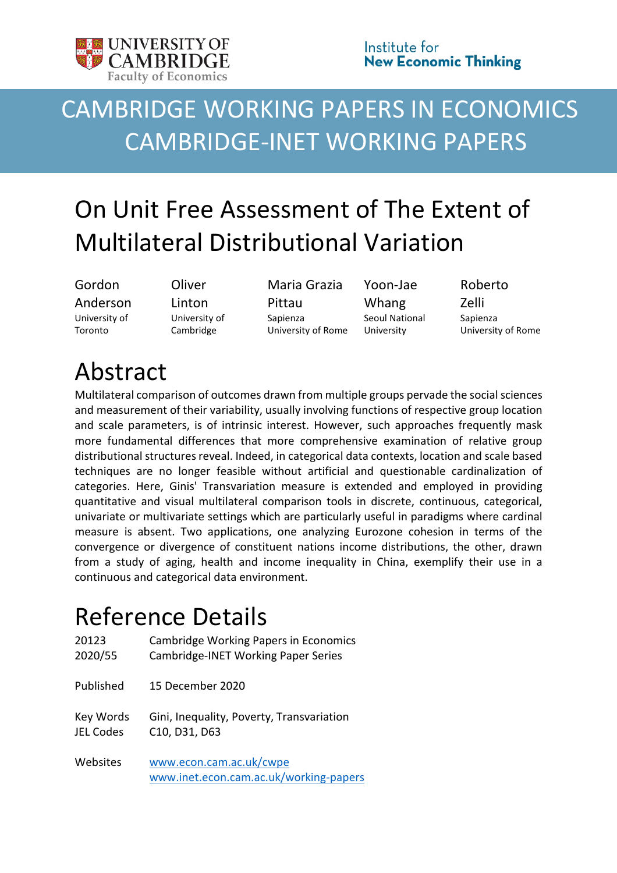

## CAMBRIDGE WORKING PAPERS IN ECONOMICS CAMBRIDGE-INET WORKING PAPERS

# On Unit Free Assessment of The Extent of Multilateral Distributional Variation

Gordon Anderson University of Toronto

**Oliver** Linton University of Cambridge

Maria Grazia Pittau Sapienza University of Rome Yoon-Jae Whang Seoul National University

Roberto Zelli Sapienza University of Rome

## Abstract

Multilateral comparison of outcomes drawn from multiple groups pervade the social sciences and measurement of their variability, usually involving functions of respective group location and scale parameters, is of intrinsic interest. However, such approaches frequently mask more fundamental differences that more comprehensive examination of relative group distributional structures reveal. Indeed, in categorical data contexts, location and scale based techniques are no longer feasible without artificial and questionable cardinalization of categories. Here, Ginis' Transvariation measure is extended and employed in providing quantitative and visual multilateral comparison tools in discrete, continuous, categorical, univariate or multivariate settings which are particularly useful in paradigms where cardinal measure is absent. Two applications, one analyzing Eurozone cohesion in terms of the convergence or divergence of constituent nations income distributions, the other, drawn from a study of aging, health and income inequality in China, exemplify their use in a continuous and categorical data environment.

## Reference Details

| 20123            | <b>Cambridge Working Papers in Economics</b>                      |
|------------------|-------------------------------------------------------------------|
| 2020/55          | Cambridge-INET Working Paper Series                               |
| Published        | 15 December 2020                                                  |
| Key Words        | Gini, Inequality, Poverty, Transvariation                         |
| <b>JEL Codes</b> | C10, D31, D63                                                     |
| Websites         | www.econ.cam.ac.uk/cwpe<br>www.inet.econ.cam.ac.uk/working-papers |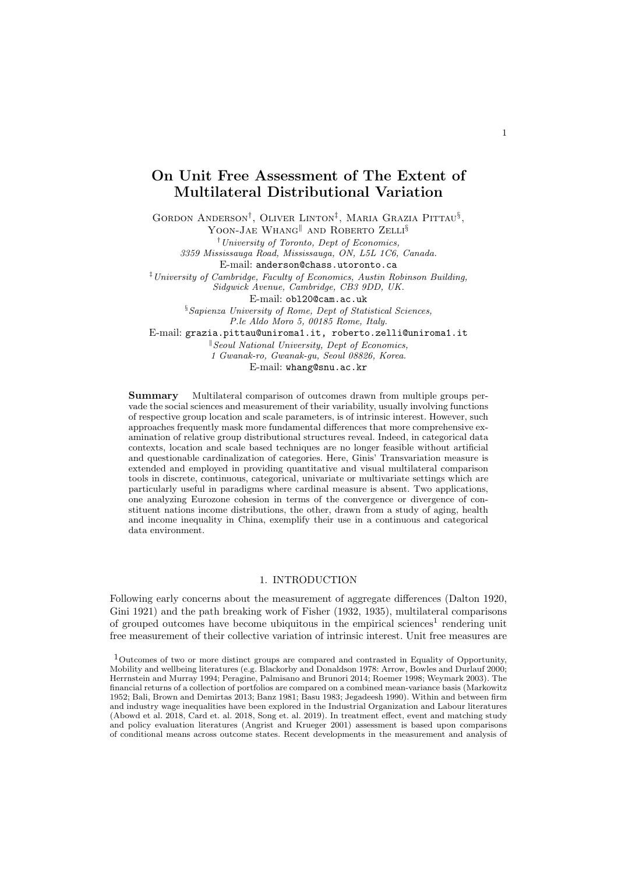## On Unit Free Assessment of The Extent of Multilateral Distributional Variation

GORDON ANDERSON<sup>†</sup>, OLIVER LINTON<sup>‡</sup>, MARIA GRAZIA PITTAU<sup>§</sup>,

YOON-JAE WHANG<sup>||</sup> AND ROBERTO ZELLI<sup>§</sup>

†University of Toronto, Dept of Economics,

3359 Mississauga Road, Mississauga, ON, L5L 1C6, Canada.

E-mail: anderson@chass.utoronto.ca

‡University of Cambridge, Faculty of Economics, Austin Robinson Building, Sidgwick Avenue, Cambridge, CB3 9DD, UK.

E-mail: obl20@cam.ac.uk

§Sapienza University of Rome, Dept of Statistical Sciences, P.le Aldo Moro 5, 00185 Rome, Italy.

E-mail: grazia.pittau@uniroma1.it, roberto.zelli@uniroma1.it

 $\mathbb{R}$  Seoul National University, Dept of Economics, 1 Gwanak-ro, Gwanak-gu, Seoul 08826, Korea. E-mail: whang@snu.ac.kr

Summary Multilateral comparison of outcomes drawn from multiple groups pervade the social sciences and measurement of their variability, usually involving functions of respective group location and scale parameters, is of intrinsic interest. However, such approaches frequently mask more fundamental differences that more comprehensive examination of relative group distributional structures reveal. Indeed, in categorical data contexts, location and scale based techniques are no longer feasible without artificial and questionable cardinalization of categories. Here, Ginis' Transvariation measure is extended and employed in providing quantitative and visual multilateral comparison tools in discrete, continuous, categorical, univariate or multivariate settings which are particularly useful in paradigms where cardinal measure is absent. Two applications, one analyzing Eurozone cohesion in terms of the convergence or divergence of constituent nations income distributions, the other, drawn from a study of aging, health and income inequality in China, exemplify their use in a continuous and categorical data environment.

## 1. INTRODUCTION

Following early concerns about the measurement of aggregate differences (Dalton 1920, Gini 1921) and the path breaking work of Fisher (1932, 1935), multilateral comparisons of grouped outcomes have become ubiquitous in the empirical sciences<sup>1</sup> rendering unit free measurement of their collective variation of intrinsic interest. Unit free measures are

<sup>1</sup>Outcomes of two or more distinct groups are compared and contrasted in Equality of Opportunity, Mobility and wellbeing literatures (e.g. Blackorby and Donaldson 1978: Arrow, Bowles and Durlauf 2000; Herrnstein and Murray 1994; Peragine, Palmisano and Brunori 2014; Roemer 1998; Weymark 2003). The financial returns of a collection of portfolios are compared on a combined mean-variance basis (Markowitz 1952; Bali, Brown and Demirtas 2013; Banz 1981; Basu 1983; Jegadeesh 1990). Within and between firm and industry wage inequalities have been explored in the Industrial Organization and Labour literatures (Abowd et al. 2018, Card et. al. 2018, Song et. al. 2019). In treatment effect, event and matching study and policy evaluation literatures (Angrist and Krueger 2001) assessment is based upon comparisons of conditional means across outcome states. Recent developments in the measurement and analysis of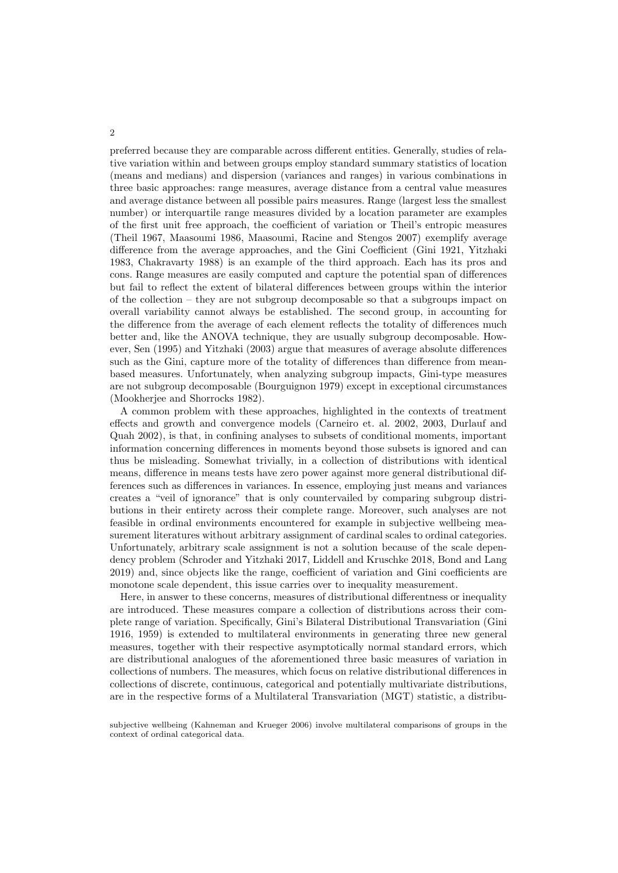preferred because they are comparable across different entities. Generally, studies of relative variation within and between groups employ standard summary statistics of location (means and medians) and dispersion (variances and ranges) in various combinations in three basic approaches: range measures, average distance from a central value measures and average distance between all possible pairs measures. Range (largest less the smallest number) or interquartile range measures divided by a location parameter are examples of the first unit free approach, the coefficient of variation or Theil's entropic measures (Theil 1967, Maasoumi 1986, Maasoumi, Racine and Stengos 2007) exemplify average difference from the average approaches, and the Gini Coefficient (Gini 1921, Yitzhaki 1983, Chakravarty 1988) is an example of the third approach. Each has its pros and cons. Range measures are easily computed and capture the potential span of differences but fail to reflect the extent of bilateral differences between groups within the interior of the collection – they are not subgroup decomposable so that a subgroups impact on overall variability cannot always be established. The second group, in accounting for the difference from the average of each element reflects the totality of differences much better and, like the ANOVA technique, they are usually subgroup decomposable. However, Sen (1995) and Yitzhaki (2003) argue that measures of average absolute differences such as the Gini, capture more of the totality of differences than difference from meanbased measures. Unfortunately, when analyzing subgroup impacts, Gini-type measures are not subgroup decomposable (Bourguignon 1979) except in exceptional circumstances (Mookherjee and Shorrocks 1982).

A common problem with these approaches, highlighted in the contexts of treatment effects and growth and convergence models (Carneiro et. al. 2002, 2003, Durlauf and Quah 2002), is that, in confining analyses to subsets of conditional moments, important information concerning differences in moments beyond those subsets is ignored and can thus be misleading. Somewhat trivially, in a collection of distributions with identical means, difference in means tests have zero power against more general distributional differences such as differences in variances. In essence, employing just means and variances creates a "veil of ignorance" that is only countervailed by comparing subgroup distributions in their entirety across their complete range. Moreover, such analyses are not feasible in ordinal environments encountered for example in subjective wellbeing measurement literatures without arbitrary assignment of cardinal scales to ordinal categories. Unfortunately, arbitrary scale assignment is not a solution because of the scale dependency problem (Schroder and Yitzhaki 2017, Liddell and Kruschke 2018, Bond and Lang 2019) and, since objects like the range, coefficient of variation and Gini coefficients are monotone scale dependent, this issue carries over to inequality measurement.

Here, in answer to these concerns, measures of distributional differentness or inequality are introduced. These measures compare a collection of distributions across their complete range of variation. Specifically, Gini's Bilateral Distributional Transvariation (Gini 1916, 1959) is extended to multilateral environments in generating three new general measures, together with their respective asymptotically normal standard errors, which are distributional analogues of the aforementioned three basic measures of variation in collections of numbers. The measures, which focus on relative distributional differences in collections of discrete, continuous, categorical and potentially multivariate distributions, are in the respective forms of a Multilateral Transvariation (MGT) statistic, a distribu-

 $\overline{2}$ 

subjective wellbeing (Kahneman and Krueger 2006) involve multilateral comparisons of groups in the context of ordinal categorical data.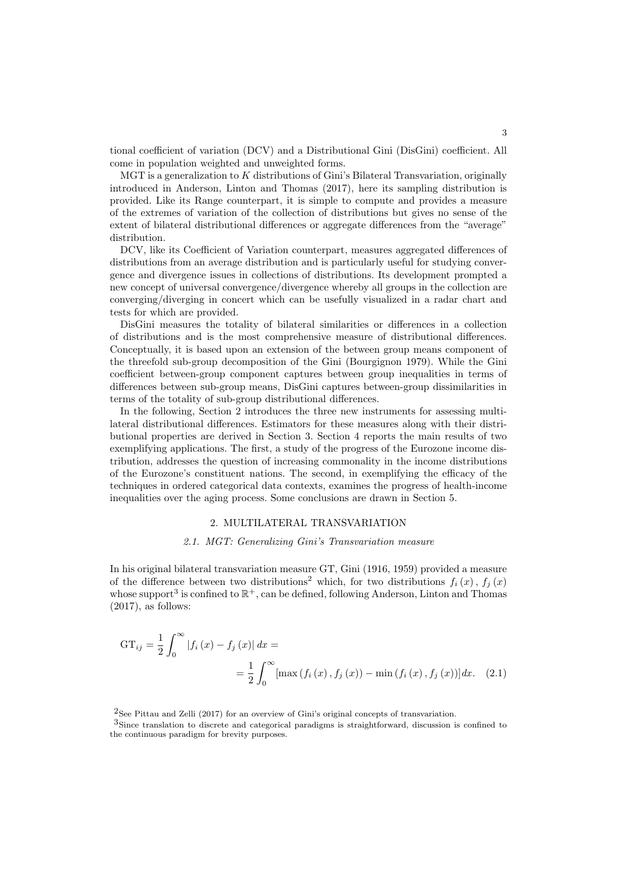tional coefficient of variation (DCV) and a Distributional Gini (DisGini) coefficient. All come in population weighted and unweighted forms.

 $MGT$  is a generalization to  $K$  distributions of Gini's Bilateral Transvariation, originally introduced in Anderson, Linton and Thomas (2017), here its sampling distribution is provided. Like its Range counterpart, it is simple to compute and provides a measure of the extremes of variation of the collection of distributions but gives no sense of the extent of bilateral distributional differences or aggregate differences from the "average" distribution.

DCV, like its Coefficient of Variation counterpart, measures aggregated differences of distributions from an average distribution and is particularly useful for studying convergence and divergence issues in collections of distributions. Its development prompted a new concept of universal convergence/divergence whereby all groups in the collection are converging/diverging in concert which can be usefully visualized in a radar chart and tests for which are provided.

DisGini measures the totality of bilateral similarities or differences in a collection of distributions and is the most comprehensive measure of distributional differences. Conceptually, it is based upon an extension of the between group means component of the threefold sub-group decomposition of the Gini (Bourgignon 1979). While the Gini coefficient between-group component captures between group inequalities in terms of differences between sub-group means, DisGini captures between-group dissimilarities in terms of the totality of sub-group distributional differences.

In the following, Section 2 introduces the three new instruments for assessing multilateral distributional differences. Estimators for these measures along with their distributional properties are derived in Section 3. Section 4 reports the main results of two exemplifying applications. The first, a study of the progress of the Eurozone income distribution, addresses the question of increasing commonality in the income distributions of the Eurozone's constituent nations. The second, in exemplifying the efficacy of the techniques in ordered categorical data contexts, examines the progress of health-income inequalities over the aging process. Some conclusions are drawn in Section 5.

### 2. MULTILATERAL TRANSVARIATION

### 2.1. MGT: Generalizing Gini's Transvariation measure

In his original bilateral transvariation measure GT, Gini (1916, 1959) provided a measure of the difference between two distributions<sup>2</sup> which, for two distributions  $f_i(x)$ ,  $f_j(x)$ whose support<sup>3</sup> is confined to  $\mathbb{R}^+$ , can be defined, following Anderson, Linton and Thomas  $(2017)$ , as follows:

$$
GT_{ij} = \frac{1}{2} \int_0^\infty |f_i(x) - f_j(x)| dx =
$$
  
=  $\frac{1}{2} \int_0^\infty [\max(f_i(x), f_j(x)) - \min(f_i(x), f_j(x))] dx.$  (2.1)

2See Pittau and Zelli (2017) for an overview of Gini's original concepts of transvariation.

3Since translation to discrete and categorical paradigms is straightforward, discussion is confined to the continuous paradigm for brevity purposes.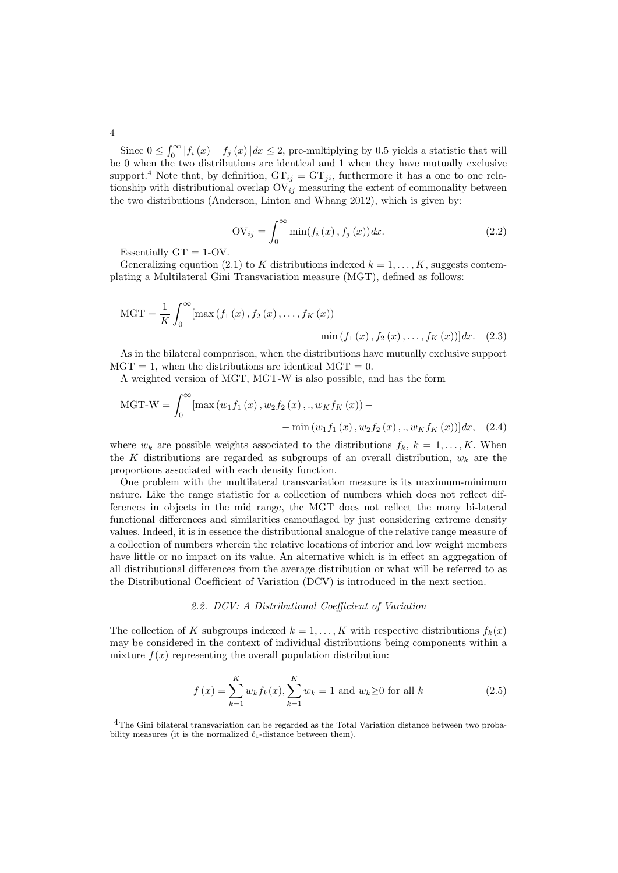Since  $0 \le \int_0^\infty |f_i(x) - f_j(x)| dx \le 2$ , pre-multiplying by 0.5 yields a statistic that will be 0 when the two distributions are identical and 1 when they have mutually exclusive support.<sup>4</sup> Note that, by definition,  $GT_{ij} = GT_{ji}$ , furthermore it has a one to one relationship with distributional overlap  $\overline{\mathrm{OV}}_{ij}$  measuring the extent of commonality between the two distributions (Anderson, Linton and Whang 2012), which is given by:

$$
OV_{ij} = \int_{0}^{\infty} \min(f_i(x), f_j(x)) dx.
$$
 (2.2)

Essentially  $GT = 1-OV$ .

Generalizing equation (2.1) to K distributions indexed  $k = 1, \ldots, K$ , suggests contemplating a Multilateral Gini Transvariation measure (MGT), defined as follows:

$$
MGT = \frac{1}{K} \int_0^{\infty} [\max(f_1(x), f_2(x), \dots, f_K(x)) - \min(f_1(x), f_2(x), \dots, f_K(x))] dx. \quad (2.3)
$$

As in the bilateral comparison, when the distributions have mutually exclusive support  $MGT = 1$ , when the distributions are identical  $MGT = 0$ .

A weighted version of MGT, MGT-W is also possible, and has the form

$$
MGT-W = \int_0^\infty [\max(w_1 f_1(x), w_2 f_2(x), .., w_K f_K(x)) -
$$
  
- min(w\_1 f\_1(x), w\_2 f\_2(x), .., w\_K f\_K(x))]dx, (2.4)

where  $w_k$  are possible weights associated to the distributions  $f_k$ ,  $k = 1, ..., K$ . When the K distributions are regarded as subgroups of an overall distribution,  $w_k$  are the proportions associated with each density function.

One problem with the multilateral transvariation measure is its maximum-minimum nature. Like the range statistic for a collection of numbers which does not reflect differences in objects in the mid range, the MGT does not reflect the many bi-lateral functional differences and similarities camouflaged by just considering extreme density values. Indeed, it is in essence the distributional analogue of the relative range measure of a collection of numbers wherein the relative locations of interior and low weight members have little or no impact on its value. An alternative which is in effect an aggregation of all distributional differences from the average distribution or what will be referred to as the Distributional Coefficient of Variation (DCV) is introduced in the next section.

## 2.2. DCV: A Distributional Coefficient of Variation

The collection of K subgroups indexed  $k = 1, ..., K$  with respective distributions  $f_k(x)$ may be considered in the context of individual distributions being components within a mixture  $f(x)$  representing the overall population distribution:

$$
f(x) = \sum_{k=1}^{K} w_k f_k(x), \sum_{k=1}^{K} w_k = 1 \text{ and } w_k \ge 0 \text{ for all } k
$$
 (2.5)

<sup>4</sup>The Gini bilateral transvariation can be regarded as the Total Variation distance between two probability measures (it is the normalized  $\ell_1$ -distance between them).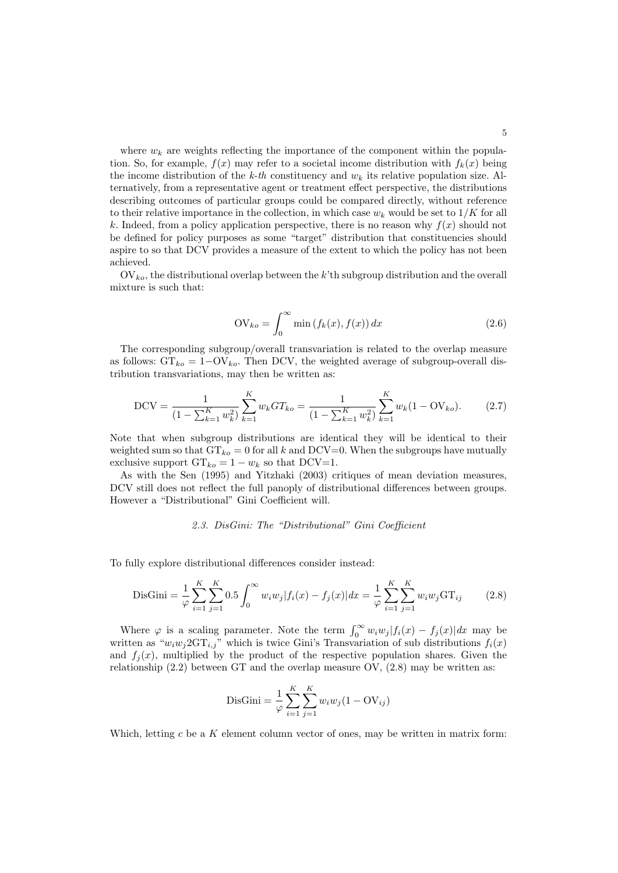where  $w_k$  are weights reflecting the importance of the component within the population. So, for example,  $f(x)$  may refer to a societal income distribution with  $f_k(x)$  being the income distribution of the k-th constituency and  $w_k$  its relative population size. Alternatively, from a representative agent or treatment effect perspective, the distributions describing outcomes of particular groups could be compared directly, without reference to their relative importance in the collection, in which case  $w_k$  would be set to  $1/K$  for all k. Indeed, from a policy application perspective, there is no reason why  $f(x)$  should not be defined for policy purposes as some "target" distribution that constituencies should aspire to so that DCV provides a measure of the extent to which the policy has not been achieved.

 $\mathrm{OV}_{ko}$ , the distributional overlap between the k'th subgroup distribution and the overall mixture is such that:

$$
OV_{ko} = \int_0^\infty \min\left(f_k(x), f(x)\right) dx\tag{2.6}
$$

The corresponding subgroup/overall transvariation is related to the overlap measure as follows:  $GT_{ko} = 1 - OV_{ko}$ . Then DCV, the weighted average of subgroup-overall distribution transvariations, may then be written as:

$$
DCV = \frac{1}{(1 - \sum_{k=1}^{K} w_k^2)} \sum_{k=1}^{K} w_k GT_{ko} = \frac{1}{(1 - \sum_{k=1}^{K} w_k^2)} \sum_{k=1}^{K} w_k (1 - OV_{ko}).
$$
 (2.7)

Note that when subgroup distributions are identical they will be identical to their weighted sum so that  $GT_{ko} = 0$  for all k and DCV=0. When the subgroups have mutually exclusive support  $GT_{ko} = 1 - w_k$  so that DCV=1.

As with the Sen (1995) and Yitzhaki (2003) critiques of mean deviation measures, DCV still does not reflect the full panoply of distributional differences between groups. However a "Distributional" Gini Coefficient will.

### 2.3. DisGini: The "Distributional" Gini Coefficient

To fully explore distributional differences consider instead:

$$
\text{DisGini} = \frac{1}{\varphi} \sum_{i=1}^{K} \sum_{j=1}^{K} 0.5 \int_0^{\infty} w_i w_j |f_i(x) - f_j(x)| dx = \frac{1}{\varphi} \sum_{i=1}^{K} \sum_{j=1}^{K} w_i w_j \text{GT}_{ij} \tag{2.8}
$$

Where  $\varphi$  is a scaling parameter. Note the term  $\int_0^\infty w_i w_j |f_i(x) - f_j(x)| dx$  may be written as " $w_i w_j 2GT_{i,j}$ " which is twice Gini's Transvariation of sub distributions  $f_i(x)$ and  $f_i(x)$ , multiplied by the product of the respective population shares. Given the relationship  $(2.2)$  between GT and the overlap measure OV,  $(2.8)$  may be written as:

DisGini = 
$$
\frac{1}{\varphi} \sum_{i=1}^{K} \sum_{j=1}^{K} w_i w_j (1 - \text{OV}_{ij})
$$

Which, letting c be a K element column vector of ones, may be written in matrix form: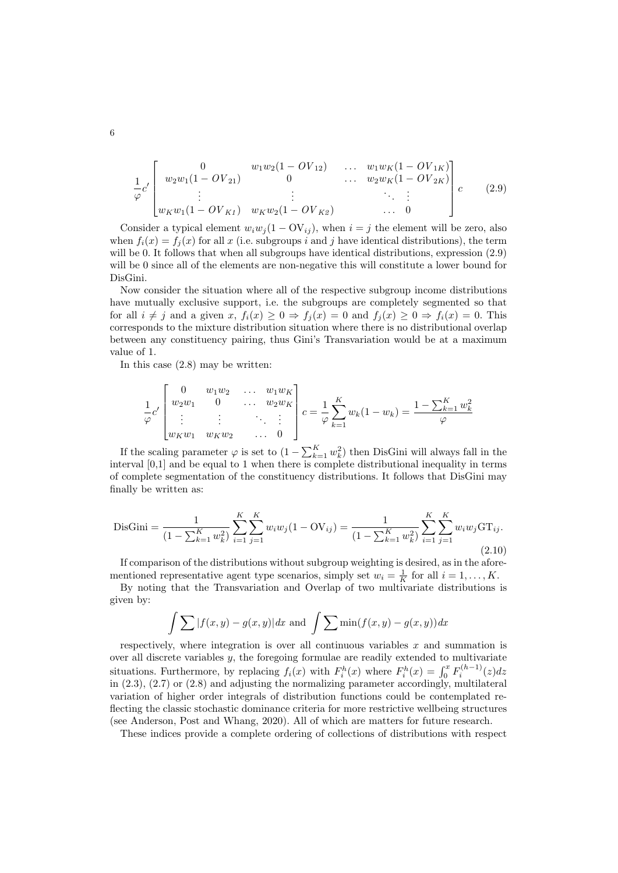$$
\frac{1}{\varphi}c'\begin{bmatrix} 0 & w_1w_2(1 - OV_{12}) & \dots & w_1w_K(1 - OV_{1K}) \\ w_2w_1(1 - OV_{21}) & 0 & \dots & w_2w_K(1 - OV_{2K}) \\ \vdots & \vdots & \ddots & \vdots \\ w_Kw_1(1 - OV_{K1}) & w_Kw_2(1 - OV_{K2}) & \dots & 0 \end{bmatrix}c
$$
(2.9)

Consider a typical element  $w_i w_j (1 - \mathrm{OV}_{ij})$ , when  $i = j$  the element will be zero, also when  $f_i(x) = f_i(x)$  for all x (i.e. subgroups i and j have identical distributions), the term will be 0. It follows that when all subgroups have identical distributions, expression  $(2.9)$ will be 0 since all of the elements are non-negative this will constitute a lower bound for DisGini.

Now consider the situation where all of the respective subgroup income distributions have mutually exclusive support, i.e. the subgroups are completely segmented so that for all  $i \neq j$  and a given  $x, f_i(x) \geq 0 \Rightarrow f_j(x) = 0$  and  $f_j(x) \geq 0 \Rightarrow f_i(x) = 0$ . This corresponds to the mixture distribution situation where there is no distributional overlap between any constituency pairing, thus Gini's Transvariation would be at a maximum value of 1.

In this case (2.8) may be written:

$$
\frac{1}{\varphi}c'\begin{bmatrix}0 & w_1w_2 & \dots & w_1w_K\\ w_2w_1 & 0 & \dots & w_2w_K\\ \vdots & \vdots & \ddots & \vdots\\ w_Kw_1 & w_Kw_2 & \dots & 0\end{bmatrix}c = \frac{1}{\varphi}\sum_{k=1}^K w_k(1-w_k) = \frac{1-\sum_{k=1}^K w_k^2}{\varphi}
$$

If the scaling parameter  $\varphi$  is set to  $(1 - \sum_{k=1}^{K} w_k^2)$  then DisGini will always fall in the interval [0,1] and be equal to 1 when there is complete distributional inequality in terms of complete segmentation of the constituency distributions. It follows that DisGini may finally be written as:

$$
\text{DisGini} = \frac{1}{(1 - \sum_{k=1}^{K} w_k^2)} \sum_{i=1}^{K} \sum_{j=1}^{K} w_i w_j (1 - \text{OV}_{ij}) = \frac{1}{(1 - \sum_{k=1}^{K} w_k^2)} \sum_{i=1}^{K} \sum_{j=1}^{K} w_i w_j \text{GT}_{ij}.
$$
\n(2.10)

If comparison of the distributions without subgroup weighting is desired, as in the aforementioned representative agent type scenarios, simply set  $w_i = \frac{1}{K}$  for all  $i = 1, ..., K$ .

By noting that the Transvariation and Overlap of two multivariate distributions is given by:

$$
\int \sum |f(x,y) - g(x,y)| dx \text{ and } \int \sum \min(f(x,y) - g(x,y)) dx
$$

respectively, where integration is over all continuous variables  $x$  and summation is over all discrete variables  $y$ , the foregoing formulae are readily extended to multivariate situations. Furthermore, by replacing  $f_i(x)$  with  $F_i^h(x)$  where  $F_i^h(x) = \int_0^x F_i^{(h-1)}(z) dz$ in (2.3), (2.7) or (2.8) and adjusting the normalizing parameter accordingly, multilateral variation of higher order integrals of distribution functions could be contemplated reflecting the classic stochastic dominance criteria for more restrictive wellbeing structures (see Anderson, Post and Whang, 2020). All of which are matters for future research.

These indices provide a complete ordering of collections of distributions with respect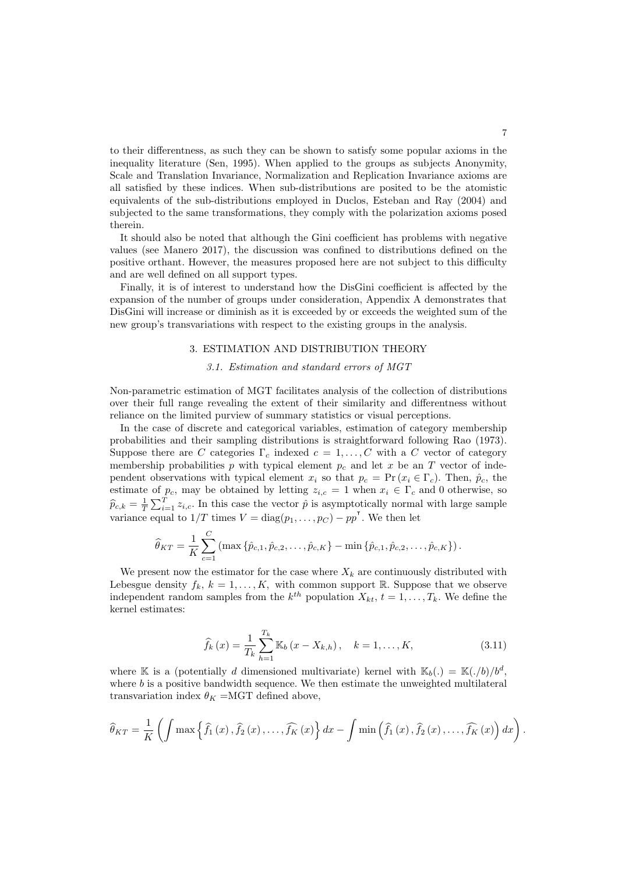to their differentness, as such they can be shown to satisfy some popular axioms in the inequality literature (Sen, 1995). When applied to the groups as subjects Anonymity, Scale and Translation Invariance, Normalization and Replication Invariance axioms are all satisfied by these indices. When sub-distributions are posited to be the atomistic equivalents of the sub-distributions employed in Duclos, Esteban and Ray (2004) and subjected to the same transformations, they comply with the polarization axioms posed therein.

It should also be noted that although the Gini coefficient has problems with negative values (see Manero 2017), the discussion was confined to distributions defined on the positive orthant. However, the measures proposed here are not subject to this difficulty and are well defined on all support types.

Finally, it is of interest to understand how the DisGini coefficient is affected by the expansion of the number of groups under consideration, Appendix A demonstrates that DisGini will increase or diminish as it is exceeded by or exceeds the weighted sum of the new group's transvariations with respect to the existing groups in the analysis.

## 3. ESTIMATION AND DISTRIBUTION THEORY

## 3.1. Estimation and standard errors of MGT

Non-parametric estimation of MGT facilitates analysis of the collection of distributions over their full range revealing the extent of their similarity and differentness without reliance on the limited purview of summary statistics or visual perceptions.

In the case of discrete and categorical variables, estimation of category membership probabilities and their sampling distributions is straightforward following Rao (1973). Suppose there are C categories  $\Gamma_c$  indexed  $c = 1, \ldots, C$  with a C vector of category membership probabilities p with typical element  $p_c$  and let x be an T vector of independent observations with typical element  $x_i$  so that  $p_c = \Pr(x_i \in \Gamma_c)$ . Then,  $\hat{p}_c$ , the estimate of  $p_c$ , may be obtained by letting  $z_{i,c} = 1$  when  $x_i \in \Gamma_c$  and 0 otherwise, so  $\widehat{p}_{c,k} = \frac{1}{T} \sum_{i=1}^{T} z_{i,c}$ . In this case the vector  $\widehat{p}$  is asymptotically normal with large sample variance equal to  $1/T$  times  $V = diag(p_1, \ldots, p_C) - pp'$ . We then let

$$
\widehat{\theta}_{KT} = \frac{1}{K} \sum_{c=1}^{C} (\max \{\hat{p}_{c,1}, \hat{p}_{c,2}, \dots, \hat{p}_{c,K}\} - \min \{\hat{p}_{c,1}, \hat{p}_{c,2}, \dots, \hat{p}_{c,K}\}).
$$

We present now the estimator for the case where  $X_k$  are continuously distributed with Lebesgue density  $f_k, k = 1, ..., K$ , with common support R. Suppose that we observe independent random samples from the  $k^{th}$  population  $X_{kt}$ ,  $t = 1, \ldots, T_k$ . We define the kernel estimates:

$$
\widehat{f}_k(x) = \frac{1}{T_k} \sum_{h=1}^{T_k} \mathbb{K}_b(x - X_{k,h}), \quad k = 1, ..., K,
$$
\n(3.11)

where K is a (potentially d dimensioned multivariate) kernel with  $\mathbb{K}_b(.) = \mathbb{K}(./b)/b^d$ , where  $b$  is a positive bandwidth sequence. We then estimate the unweighted multilateral transvariation index  $\theta_K = MGT$  defined above,

$$
\widehat{\theta}_{KT} = \frac{1}{K} \left( \int \max \left\{ \widehat{f}_1 \left( x \right), \widehat{f}_2 \left( x \right), \ldots, \widehat{f}_K \left( x \right) \right\} dx - \int \min \left( \widehat{f}_1 \left( x \right), \widehat{f}_2 \left( x \right), \ldots, \widehat{f}_K \left( x \right) \right) dx \right).
$$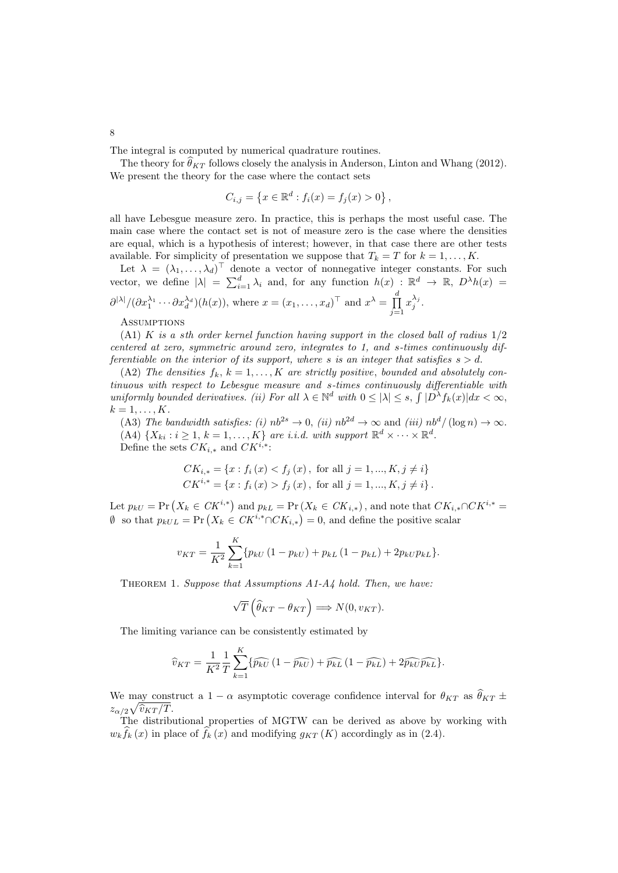The integral is computed by numerical quadrature routines.

The theory for  $\hat{\theta}_{KT}$  follows closely the analysis in Anderson, Linton and Whang (2012). We present the theory for the case where the contact sets

$$
C_{i,j} = \{x \in \mathbb{R}^d : f_i(x) = f_j(x) > 0\},\,
$$

all have Lebesgue measure zero. In practice, this is perhaps the most useful case. The main case where the contact set is not of measure zero is the case where the densities are equal, which is a hypothesis of interest; however, in that case there are other tests available. For simplicity of presentation we suppose that  $T_k = T$  for  $k = 1, ..., K$ .

Let  $\lambda = (\lambda_1, \ldots, \lambda_d)^\top$  denote a vector of nonnegative integer constants. For such vector, we define  $|\lambda| = \sum_{i=1}^d \lambda_i$  and, for any function  $h(x) : \mathbb{R}^d \to \mathbb{R}, D^{\lambda}h(x) =$  $\frac{\partial^{|\lambda|}}{\partial x_1^{\lambda_1} \cdots \partial x_d^{\lambda_d}}(h(x))$ , where  $x = (x_1, \ldots, x_d)^\top$  and  $x^\lambda = \prod_{i=1}^d$  $j=1$  $x_j^{\lambda_j}$ .

**ASSUMPTIONS** 

(A1) K is a sth order kernel function having support in the closed ball of radius 1/2 centered at zero, symmetric around zero, integrates to 1, and s-times continuously differentiable on the interior of its support, where s is an integer that satisfies  $s > d$ .

(A2) The densities  $f_k, k = 1, \ldots, K$  are strictly positive, bounded and absolutely continuous with respect to Lebesgue measure and s-times continuously differentiable with uniformly bounded derivatives. (ii) For all  $\lambda \in \mathbb{N}^d$  with  $0 \leq |\lambda| \leq s$ ,  $\int |D^{\lambda} f_k(x)| dx < \infty$ ,  $k=1,\ldots,K$ .

(A3) The bandwidth satisfies: (i)  $nb^{2s} \rightarrow 0$ , (ii)  $nb^{2d} \rightarrow \infty$  and (iii)  $nb^d / (\log n) \rightarrow \infty$ . (A4)  $\{X_{ki} : i \geq 1, k = 1, ..., K\}$  are i.i.d. with support  $\mathbb{R}^d \times \cdots \times \mathbb{R}^d$ . Define the sets  $CK_{i,*}$  and  $CK^{i,*}$ :

$$
CK_{i,*} = \{x : f_i(x) < f_j(x), \text{ for all } j = 1, \dots, K, j \neq i\}
$$
\n
$$
CK^{i,*} = \{x : f_i(x) > f_j(x), \text{ for all } j = 1, \dots, K, j \neq i\}.
$$

Let  $p_{kU} = \Pr(X_k \in CK^{i,*})$  and  $p_{kL} = \Pr(X_k \in CK_{i,*})$ , and note that  $CK_{i,*} \cap CK^{i,*} =$  $\emptyset$  so that  $p_{kUL} = \Pr(X_k \in CK^{i,*} \cap CK_{i,*}) = 0$ , and define the positive scalar

$$
v_{KT} = \frac{1}{K^2} \sum_{k=1}^{K} \{p_{kU} (1 - p_{kU}) + p_{kL} (1 - p_{kL}) + 2p_{kU} p_{kL}\}.
$$

THEOREM 1. Suppose that Assumptions A1-A4 hold. Then, we have:

$$
\sqrt{T}\left(\widehat{\theta}_{KT} - \theta_{KT}\right) \Longrightarrow N(0, v_{KT}).
$$

The limiting variance can be consistently estimated by

$$
\widehat{v}_{KT} = \frac{1}{K^2} \frac{1}{T} \sum_{k=1}^{K} \{ \widehat{p_{kU}} \left( 1 - \widehat{p_{kU}} \right) + \widehat{p_{kL}} \left( 1 - \widehat{p_{kL}} \right) + 2 \widehat{p_{kU} \widehat{p_{kL}}} \}.
$$

We may construct a 1 –  $\alpha$  asymptotic coverage confidence interval for  $\theta_{KT}$  as  $\hat{\theta}_{KT}$   $\pm$  $z_{\alpha/2}\sqrt{\widehat{v}_{KT}/T}.$ <br>The distribution

The distributional properties of MGTW can be derived as above by working with  $w_k \hat{f}_k(x)$  in place of  $\hat{f}_k(x)$  and modifying  $g_{KT}(K)$  accordingly as in (2.4).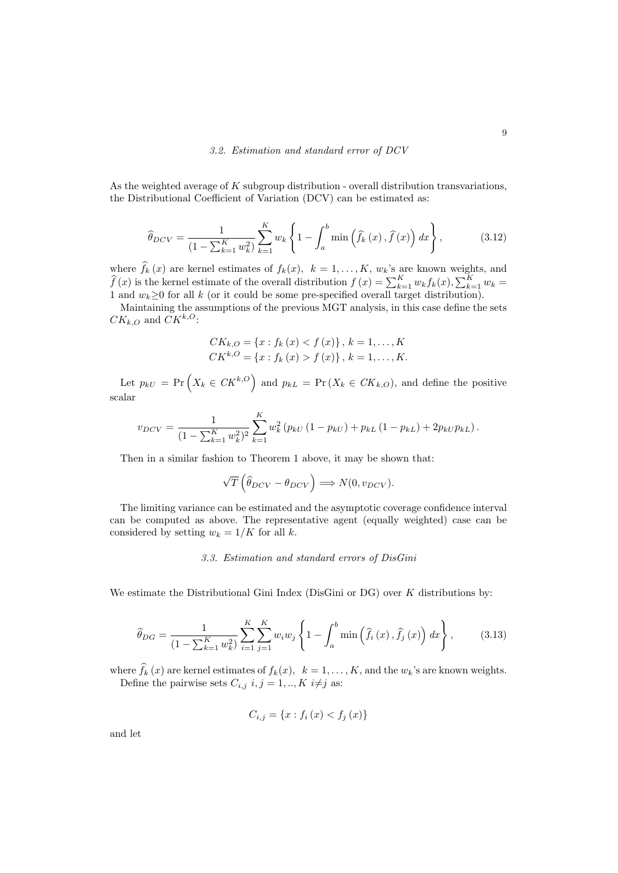As the weighted average of  $K$  subgroup distribution - overall distribution transvariations, the Distributional Coefficient of Variation (DCV) can be estimated as:

$$
\widehat{\theta}_{DCV} = \frac{1}{(1 - \sum_{k=1}^{K} w_k^2)} \sum_{k=1}^{K} w_k \left\{ 1 - \int_a^b \min\left(\widehat{f}_k(x), \widehat{f}(x)\right) dx \right\},\tag{3.12}
$$

where  $f_k(x)$  are kernel estimates of  $f_k(x)$ ,  $k = 1, ..., K$ ,  $w_k$ 's are known weights, and  $\widehat{f}(x)$  is the kernel estimate of the overall distribution  $f(x) = \sum_{k=1}^{K} w_k f_k(x), \sum_{k=1}^{K} w_k =$ 1 and  $w_k \geq 0$  for all k (or it could be some pre-specified overall target distribution).

Maintaining the assumptions of the previous MGT analysis, in this case define the sets  $CK_{k,O}$  and  $CK^{k,O}$ :

$$
CK_{k,O} = \{x : f_k(x) < f(x)\}, \, k = 1, \ldots, K
$$
\n
$$
CK^{k,O} = \{x : f_k(x) > f(x)\}, \, k = 1, \ldots, K.
$$

Let  $p_{kU} = \Pr(X_k \in \mathbb{C}K^{k,O})$  and  $p_{kL} = \Pr(X_k \in \mathbb{C}K_{k,O})$ , and define the positive scalar

$$
v_{DCV} = \frac{1}{(1 - \sum_{k=1}^{K} w_k^2)^2} \sum_{k=1}^{K} w_k^2 (p_{kU} (1 - p_{kU}) + p_{kL} (1 - p_{kL}) + 2p_{kU} p_{kL}).
$$

Then in a similar fashion to Theorem 1 above, it may be shown that:

$$
\sqrt{T}\left(\widehat{\theta}_{DCV} - \theta_{DCV}\right) \Longrightarrow N(0, v_{DCV}).
$$

The limiting variance can be estimated and the asymptotic coverage confidence interval can be computed as above. The representative agent (equally weighted) case can be considered by setting  $w_k = 1/K$  for all k.

#### 3.3. Estimation and standard errors of DisGini

We estimate the Distributional Gini Index (DisGini or  $DG$ ) over K distributions by:

$$
\widehat{\theta}_{DG} = \frac{1}{(1 - \sum_{k=1}^{K} w_k^2)} \sum_{i=1}^{K} \sum_{j=1}^{K} w_i w_j \left\{ 1 - \int_a^b \min\left(\widehat{f}_i(x), \widehat{f}_j(x)\right) dx \right\},\tag{3.13}
$$

where  $f_k(x)$  are kernel estimates of  $f_k(x)$ ,  $k = 1, ..., K$ , and the  $w_k$ 's are known weights. Define the pairwise sets  $C_{i,j}$   $i, j = 1, ..., K$   $i \neq j$  as:

$$
C_{i,j} = \{x : f_i(x) < f_j(x)\}
$$

and let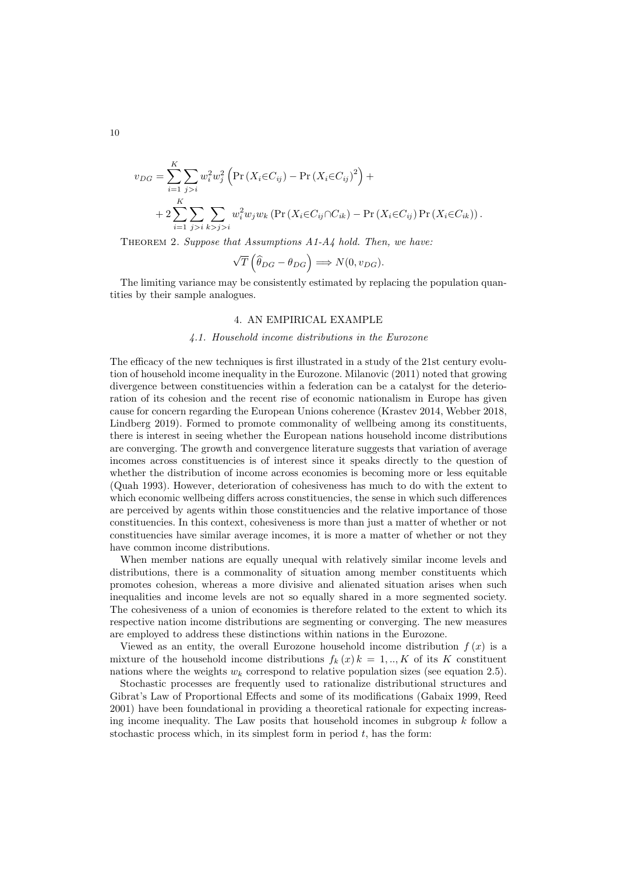$$
v_{DG} = \sum_{i=1}^{K} \sum_{j>i} w_i^2 w_j^2 \left( \Pr(X_i \in C_{ij}) - \Pr(X_i \in C_{ij})^2 \right) +
$$
  
+ 
$$
2 \sum_{i=1}^{K} \sum_{j>i} \sum_{k>j>i} w_i^2 w_j w_k \left( \Pr(X_i \in C_{ij} \cap C_{ik}) - \Pr(X_i \in C_{ij}) \Pr(X_i \in C_{ik}) \right).
$$

THEOREM 2. Suppose that Assumptions  $A1-A$ 4 hold. Then, we have:

$$
\sqrt{T}\left(\widehat{\theta}_{DG} - \theta_{DG}\right) \Longrightarrow N(0, v_{DG}).
$$

The limiting variance may be consistently estimated by replacing the population quantities by their sample analogues.

### 4. AN EMPIRICAL EXAMPLE

### 4.1. Household income distributions in the Eurozone

The efficacy of the new techniques is first illustrated in a study of the 21st century evolution of household income inequality in the Eurozone. Milanovic (2011) noted that growing divergence between constituencies within a federation can be a catalyst for the deterioration of its cohesion and the recent rise of economic nationalism in Europe has given cause for concern regarding the European Unions coherence (Krastev 2014, Webber 2018, Lindberg 2019). Formed to promote commonality of wellbeing among its constituents, there is interest in seeing whether the European nations household income distributions are converging. The growth and convergence literature suggests that variation of average incomes across constituencies is of interest since it speaks directly to the question of whether the distribution of income across economies is becoming more or less equitable (Quah 1993). However, deterioration of cohesiveness has much to do with the extent to which economic wellbeing differs across constituencies, the sense in which such differences are perceived by agents within those constituencies and the relative importance of those constituencies. In this context, cohesiveness is more than just a matter of whether or not constituencies have similar average incomes, it is more a matter of whether or not they have common income distributions.

When member nations are equally unequal with relatively similar income levels and distributions, there is a commonality of situation among member constituents which promotes cohesion, whereas a more divisive and alienated situation arises when such inequalities and income levels are not so equally shared in a more segmented society. The cohesiveness of a union of economies is therefore related to the extent to which its respective nation income distributions are segmenting or converging. The new measures are employed to address these distinctions within nations in the Eurozone.

Viewed as an entity, the overall Eurozone household income distribution  $f(x)$  is a mixture of the household income distributions  $f_k(x) k = 1,..,K$  of its K constituent nations where the weights  $w_k$  correspond to relative population sizes (see equation 2.5).

Stochastic processes are frequently used to rationalize distributional structures and Gibrat's Law of Proportional Effects and some of its modifications (Gabaix 1999, Reed 2001) have been foundational in providing a theoretical rationale for expecting increasing income inequality. The Law posits that household incomes in subgroup  $k$  follow a stochastic process which, in its simplest form in period  $t$ , has the form:

10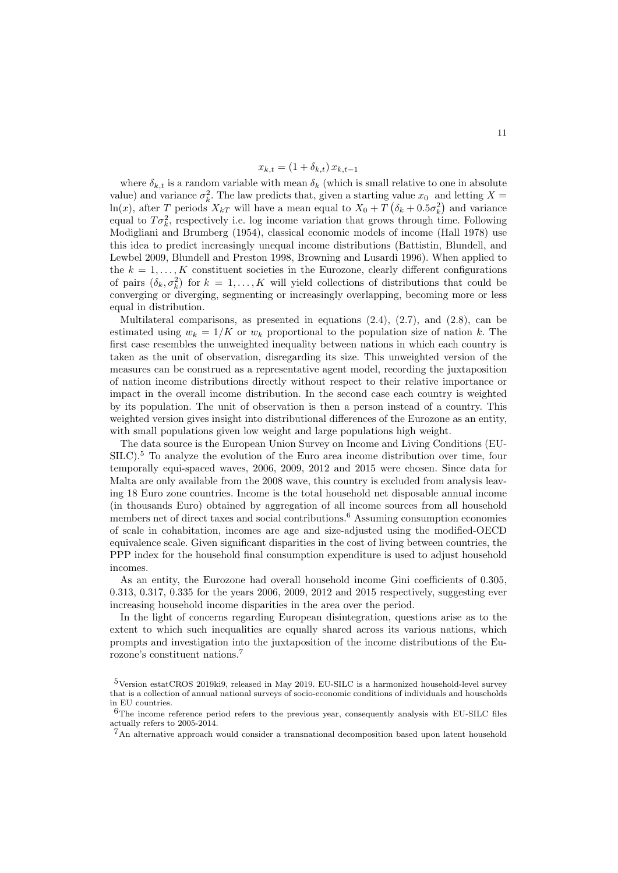$$
x_{k,t} = (1 + \delta_{k,t}) x_{k,t-1}
$$

where  $\delta_{k,t}$  is a random variable with mean  $\delta_k$  (which is small relative to one in absolute value) and variance  $\sigma_k^2$ . The law predicts that, given a starting value  $x_0$  and letting  $X =$  $\ln(x)$ , after T periods  $X_{kT}$  will have a mean equal to  $X_0 + T(\delta_k + 0.5\sigma_k^2)$  and variance equal to  $T\sigma_k^2$ , respectively i.e. log income variation that grows through time. Following Modigliani and Brumberg (1954), classical economic models of income (Hall 1978) use this idea to predict increasingly unequal income distributions (Battistin, Blundell, and Lewbel 2009, Blundell and Preston 1998, Browning and Lusardi 1996). When applied to the  $k = 1, \ldots, K$  constituent societies in the Eurozone, clearly different configurations of pairs  $(\delta_k, \sigma_k^2)$  for  $k = 1, ..., K$  will yield collections of distributions that could be converging or diverging, segmenting or increasingly overlapping, becoming more or less equal in distribution.

Multilateral comparisons, as presented in equations  $(2.4)$ ,  $(2.7)$ , and  $(2.8)$ , can be estimated using  $w_k = 1/K$  or  $w_k$  proportional to the population size of nation k. The first case resembles the unweighted inequality between nations in which each country is taken as the unit of observation, disregarding its size. This unweighted version of the measures can be construed as a representative agent model, recording the juxtaposition of nation income distributions directly without respect to their relative importance or impact in the overall income distribution. In the second case each country is weighted by its population. The unit of observation is then a person instead of a country. This weighted version gives insight into distributional differences of the Eurozone as an entity, with small populations given low weight and large populations high weight.

The data source is the European Union Survey on Income and Living Conditions (EU-SILC).<sup>5</sup> To analyze the evolution of the Euro area income distribution over time, four temporally equi-spaced waves, 2006, 2009, 2012 and 2015 were chosen. Since data for Malta are only available from the 2008 wave, this country is excluded from analysis leaving 18 Euro zone countries. Income is the total household net disposable annual income (in thousands Euro) obtained by aggregation of all income sources from all household members net of direct taxes and social contributions.<sup>6</sup> Assuming consumption economies of scale in cohabitation, incomes are age and size-adjusted using the modified-OECD equivalence scale. Given significant disparities in the cost of living between countries, the PPP index for the household final consumption expenditure is used to adjust household incomes.

As an entity, the Eurozone had overall household income Gini coefficients of 0.305, 0.313, 0.317, 0.335 for the years 2006, 2009, 2012 and 2015 respectively, suggesting ever increasing household income disparities in the area over the period.

In the light of concerns regarding European disintegration, questions arise as to the extent to which such inequalities are equally shared across its various nations, which prompts and investigation into the juxtaposition of the income distributions of the Eurozone's constituent nations.<sup>7</sup>

<sup>5</sup>Version estatCROS 2019ki9, released in May 2019. EU-SILC is a harmonized household-level survey that is a collection of annual national surveys of socio-economic conditions of individuals and households in EU countries.

 $6$ The income reference period refers to the previous year, consequently analysis with EU-SILC files actually refers to 2005-2014.

<sup>&</sup>lt;sup>7</sup>An alternative approach would consider a transnational decomposition based upon latent household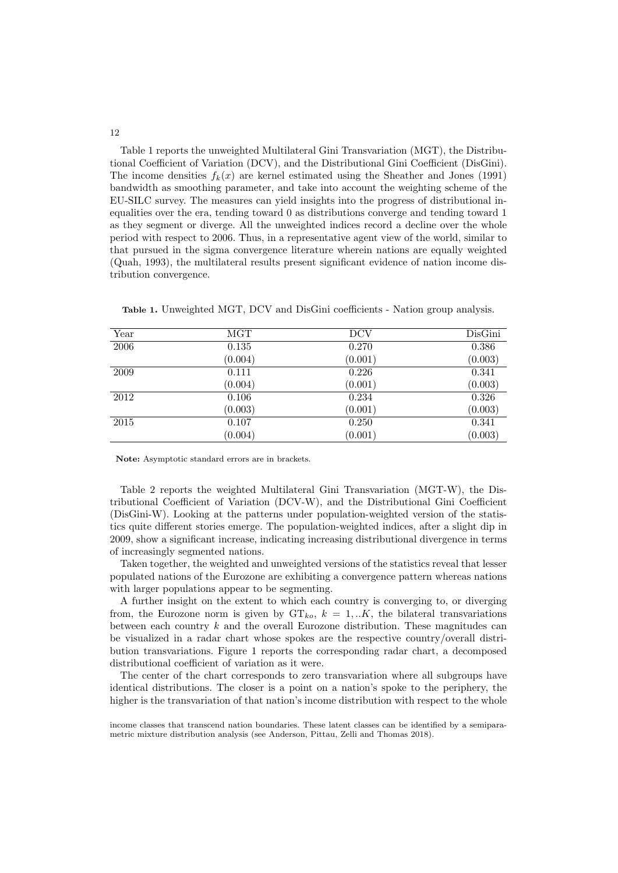Table 1 reports the unweighted Multilateral Gini Transvariation (MGT), the Distributional Coefficient of Variation (DCV), and the Distributional Gini Coefficient (DisGini). The income densities  $f_k(x)$  are kernel estimated using the Sheather and Jones (1991) bandwidth as smoothing parameter, and take into account the weighting scheme of the EU-SILC survey. The measures can yield insights into the progress of distributional inequalities over the era, tending toward 0 as distributions converge and tending toward 1 as they segment or diverge. All the unweighted indices record a decline over the whole period with respect to 2006. Thus, in a representative agent view of the world, similar to that pursued in the sigma convergence literature wherein nations are equally weighted (Quah, 1993), the multilateral results present significant evidence of nation income distribution convergence.

| Year     | MGT     | <b>DCV</b> | DisGini |
|----------|---------|------------|---------|
| 2006     | 0.135   | 0.270      | 0.386   |
|          | (0.004) | (0.001)    | (0.003) |
| 2009     | 0.111   | 0.226      | 0.341   |
|          | (0.004) | (0.001)    | (0.003) |
| 2012     | 0.106   | 0.234      | 0.326   |
|          | (0.003) | (0.001)    | (0.003) |
| $\,2015$ | 0.107   | 0.250      | 0.341   |
|          | (0.004) | (0.001)    | (0.003) |

Table 1. Unweighted MGT, DCV and DisGini coefficients - Nation group analysis.

Note: Asymptotic standard errors are in brackets.

Table 2 reports the weighted Multilateral Gini Transvariation (MGT-W), the Distributional Coefficient of Variation (DCV-W), and the Distributional Gini Coefficient (DisGini-W). Looking at the patterns under population-weighted version of the statistics quite different stories emerge. The population-weighted indices, after a slight dip in 2009, show a significant increase, indicating increasing distributional divergence in terms of increasingly segmented nations.

Taken together, the weighted and unweighted versions of the statistics reveal that lesser populated nations of the Eurozone are exhibiting a convergence pattern whereas nations with larger populations appear to be segmenting.

A further insight on the extent to which each country is converging to, or diverging from, the Eurozone norm is given by  $GT_{ko}$ ,  $k = 1,..K$ , the bilateral transvariations between each country  $k$  and the overall Eurozone distribution. These magnitudes can be visualized in a radar chart whose spokes are the respective country/overall distribution transvariations. Figure 1 reports the corresponding radar chart, a decomposed distributional coefficient of variation as it were.

The center of the chart corresponds to zero transvariation where all subgroups have identical distributions. The closer is a point on a nation's spoke to the periphery, the higher is the transvariation of that nation's income distribution with respect to the whole

income classes that transcend nation boundaries. These latent classes can be identified by a semiparametric mixture distribution analysis (see Anderson, Pittau, Zelli and Thomas 2018).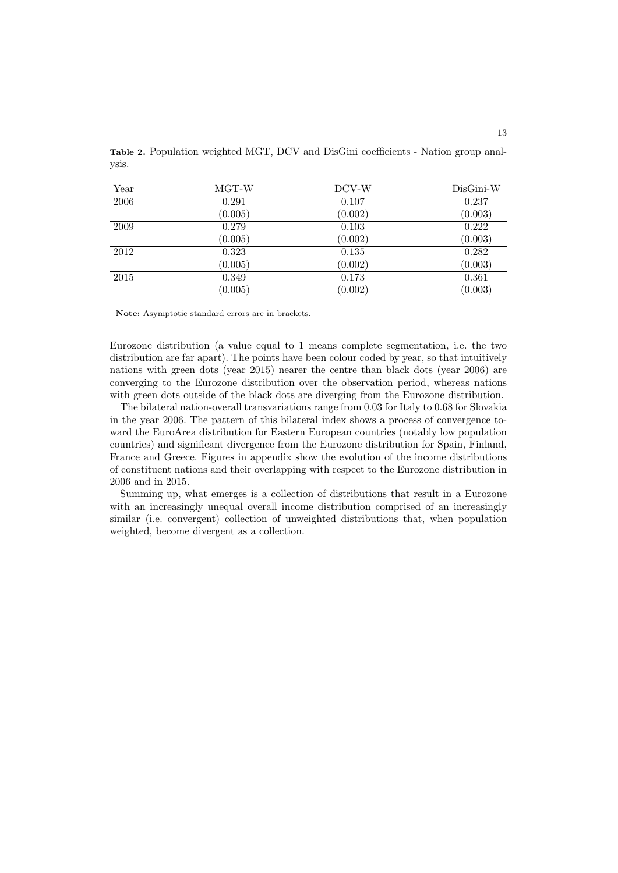| Year | MGT-W   | DCV-W   | $DisGini-W$ |
|------|---------|---------|-------------|
| 2006 | 0.291   | 0.107   | 0.237       |
|      | (0.005) | (0.002) | (0.003)     |
| 2009 | 0.279   | 0.103   | 0.222       |
|      | (0.005) | (0.002) | (0.003)     |
| 2012 | 0.323   | 0.135   | 0.282       |
|      | (0.005) | (0.002) | (0.003)     |
| 2015 | 0.349   | 0.173   | 0.361       |
|      | (0.005) | (0.002) | (0.003)     |

Table 2. Population weighted MGT, DCV and DisGini coefficients - Nation group analysis.

Note: Asymptotic standard errors are in brackets.

Eurozone distribution (a value equal to 1 means complete segmentation, i.e. the two distribution are far apart). The points have been colour coded by year, so that intuitively nations with green dots (year 2015) nearer the centre than black dots (year 2006) are converging to the Eurozone distribution over the observation period, whereas nations with green dots outside of the black dots are diverging from the Eurozone distribution.

The bilateral nation-overall transvariations range from 0.03 for Italy to 0.68 for Slovakia in the year 2006. The pattern of this bilateral index shows a process of convergence toward the EuroArea distribution for Eastern European countries (notably low population countries) and significant divergence from the Eurozone distribution for Spain, Finland, France and Greece. Figures in appendix show the evolution of the income distributions of constituent nations and their overlapping with respect to the Eurozone distribution in 2006 and in 2015.

Summing up, what emerges is a collection of distributions that result in a Eurozone with an increasingly unequal overall income distribution comprised of an increasingly similar (i.e. convergent) collection of unweighted distributions that, when population weighted, become divergent as a collection.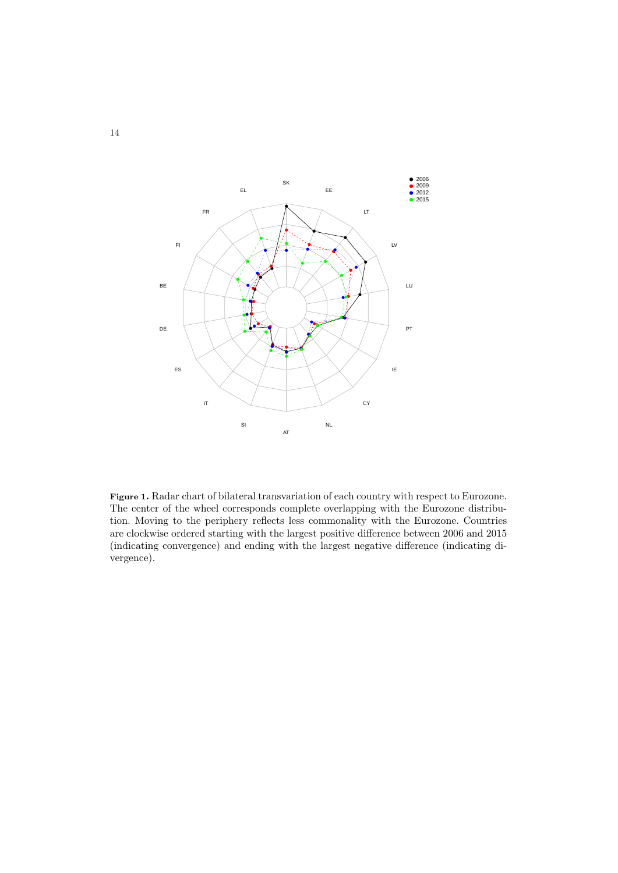

Figure 1. Radar chart of bilateral transvariation of each country with respect to Eurozone. The center of the wheel corresponds complete overlapping with the Eurozone distribution. Moving to the periphery reflects less commonality with the Eurozone. Countries are clockwise ordered starting with the largest positive difference between 2006 and 2015 (indicating convergence) and ending with the largest negative difference (indicating divergence).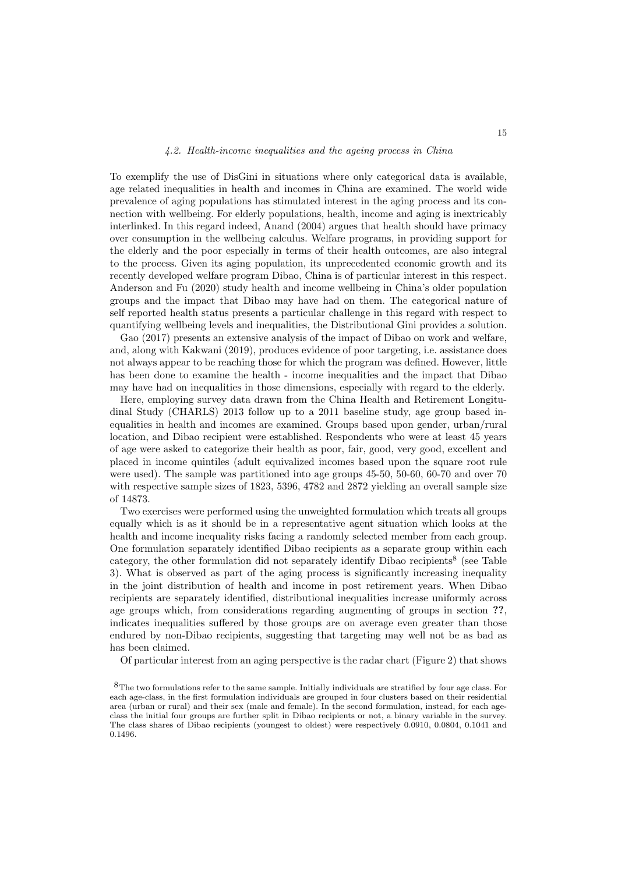#### 4.2. Health-income inequalities and the ageing process in China

To exemplify the use of DisGini in situations where only categorical data is available, age related inequalities in health and incomes in China are examined. The world wide prevalence of aging populations has stimulated interest in the aging process and its connection with wellbeing. For elderly populations, health, income and aging is inextricably interlinked. In this regard indeed, Anand (2004) argues that health should have primacy over consumption in the wellbeing calculus. Welfare programs, in providing support for the elderly and the poor especially in terms of their health outcomes, are also integral to the process. Given its aging population, its unprecedented economic growth and its recently developed welfare program Dibao, China is of particular interest in this respect. Anderson and Fu (2020) study health and income wellbeing in China's older population groups and the impact that Dibao may have had on them. The categorical nature of self reported health status presents a particular challenge in this regard with respect to quantifying wellbeing levels and inequalities, the Distributional Gini provides a solution.

Gao (2017) presents an extensive analysis of the impact of Dibao on work and welfare, and, along with Kakwani (2019), produces evidence of poor targeting, i.e. assistance does not always appear to be reaching those for which the program was defined. However, little has been done to examine the health - income inequalities and the impact that Dibao may have had on inequalities in those dimensions, especially with regard to the elderly.

Here, employing survey data drawn from the China Health and Retirement Longitudinal Study (CHARLS) 2013 follow up to a 2011 baseline study, age group based inequalities in health and incomes are examined. Groups based upon gender, urban/rural location, and Dibao recipient were established. Respondents who were at least 45 years of age were asked to categorize their health as poor, fair, good, very good, excellent and placed in income quintiles (adult equivalized incomes based upon the square root rule were used). The sample was partitioned into age groups 45-50, 50-60, 60-70 and over 70 with respective sample sizes of 1823, 5396, 4782 and 2872 yielding an overall sample size of 14873.

Two exercises were performed using the unweighted formulation which treats all groups equally which is as it should be in a representative agent situation which looks at the health and income inequality risks facing a randomly selected member from each group. One formulation separately identified Dibao recipients as a separate group within each category, the other formulation did not separately identify Dibao recipients<sup>8</sup> (see Table 3). What is observed as part of the aging process is significantly increasing inequality in the joint distribution of health and income in post retirement years. When Dibao recipients are separately identified, distributional inequalities increase uniformly across age groups which, from considerations regarding augmenting of groups in section ??, indicates inequalities suffered by those groups are on average even greater than those endured by non-Dibao recipients, suggesting that targeting may well not be as bad as has been claimed.

Of particular interest from an aging perspective is the radar chart (Figure 2) that shows

<sup>8</sup>The two formulations refer to the same sample. Initially individuals are stratified by four age class. For each age-class, in the first formulation individuals are grouped in four clusters based on their residential area (urban or rural) and their sex (male and female). In the second formulation, instead, for each ageclass the initial four groups are further split in Dibao recipients or not, a binary variable in the survey. The class shares of Dibao recipients (youngest to oldest) were respectively 0.0910, 0.0804, 0.1041 and 0.1496.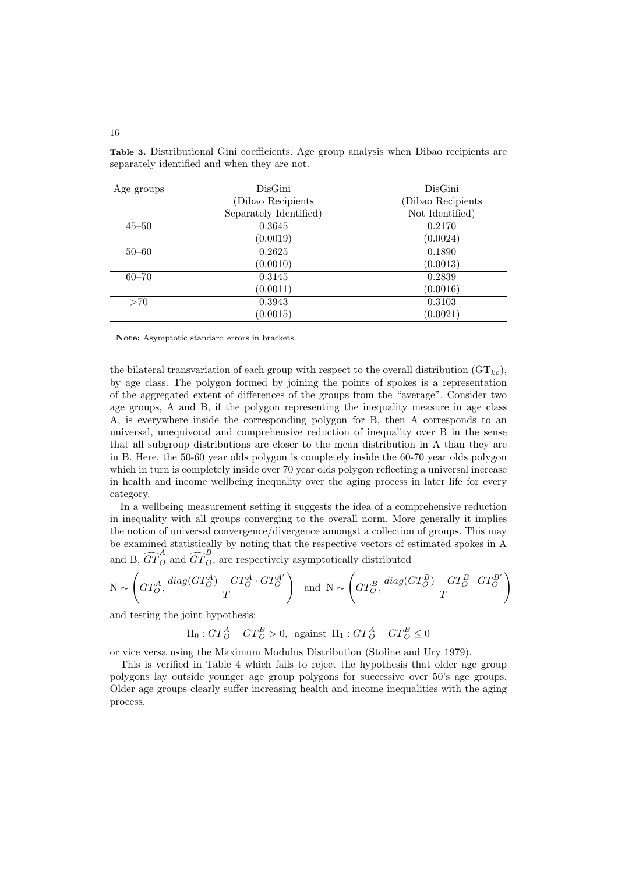| Age groups | DisGini                | DisGini           |
|------------|------------------------|-------------------|
|            | (Dibao Recipients)     | (Dibao Recipients |
|            | Separately Identified) | Not Identified)   |
| $45 - 50$  | 0.3645                 | 0.2170            |
|            | (0.0019)               | (0.0024)          |
| $50 - 60$  | 0.2625                 | 0.1890            |
|            | (0.0010)               | (0.0013)          |
| $60 - 70$  | 0.3145                 | 0.2839            |
|            | (0.0011)               | (0.0016)          |
| >70        | 0.3943                 | 0.3103            |
|            | (0.0015)               | (0.0021)          |

Table 3. Distributional Gini coefficients. Age group analysis when Dibao recipients are separately identified and when they are not.

Note: Asymptotic standard errors in brackets.

the bilateral transvariation of each group with respect to the overall distribution  $(GT_{ko})$ , by age class. The polygon formed by joining the points of spokes is a representation of the aggregated extent of differences of the groups from the "average". Consider two age groups, A and B, if the polygon representing the inequality measure in age class A, is everywhere inside the corresponding polygon for B, then A corresponds to an universal, unequivocal and comprehensive reduction of inequality over B in the sense that all subgroup distributions are closer to the mean distribution in A than they are in B. Here, the 50-60 year olds polygon is completely inside the 60-70 year olds polygon which in turn is completely inside over 70 year olds polygon reflecting a universal increase in health and income wellbeing inequality over the aging process in later life for every category.

In a wellbeing measurement setting it suggests the idea of a comprehensive reduction in inequality with all groups converging to the overall norm. More generally it implies the notion of universal convergence/divergence amongst a collection of groups. This may be examined statistically by noting that the respective vectors of estimated spokes in A and B,  $\widehat{GT}_{O}^{A}$  and  $\widehat{GT}_{O}^{B}$ , are respectively asymptotically distributed

$$
\mathcal{N} \sim \left( GT_{O}^{A}, \frac{diag(GT_{O}^{A})-GT_{O}^{A} \cdot GT_{O}^{A'}}{T} \right) \ \ \text{and} \ \ \mathcal{N} \sim \left( GT_{O}^{B}, \frac{diag(GT_{O}^{B})-GT_{O}^{B} \cdot GT_{O}^{B'}}{T} \right)
$$

and testing the joint hypothesis:

$$
\mathcal{H}_0: GT_O^A - GT_O^B > 0, \text{ against } \mathcal{H}_1: GT_O^A - GT_O^B \le 0
$$

or vice versa using the Maximum Modulus Distribution (Stoline and Ury 1979).

This is verified in Table 4 which fails to reject the hypothesis that older age group polygons lay outside younger age group polygons for successive over 50's age groups. Older age groups clearly suffer increasing health and income inequalities with the aging process.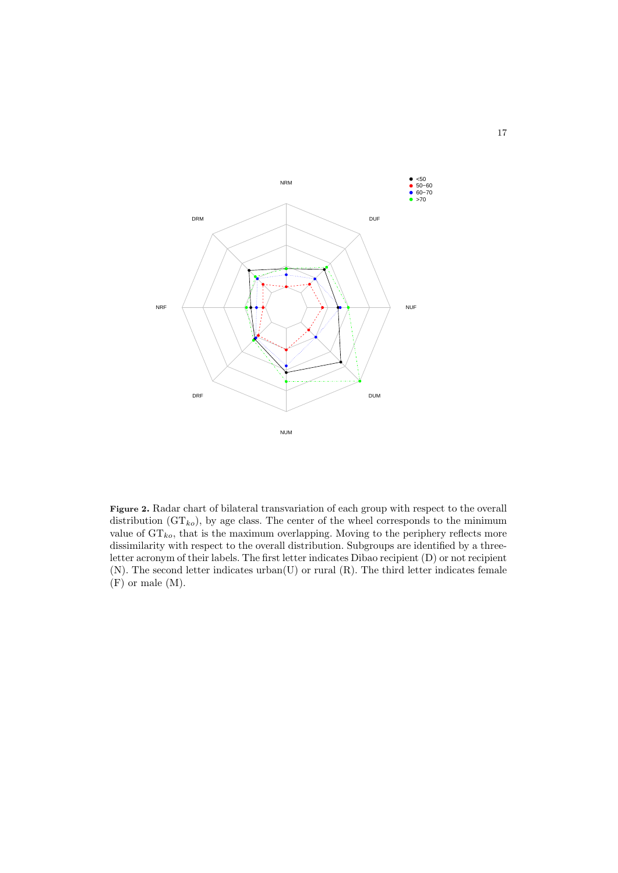

Figure 2. Radar chart of bilateral transvariation of each group with respect to the overall distribution  $(GT_{ko})$ , by age class. The center of the wheel corresponds to the minimum value of  $GT_{ko}$ , that is the maximum overlapping. Moving to the periphery reflects more dissimilarity with respect to the overall distribution. Subgroups are identified by a threeletter acronym of their labels. The first letter indicates Dibao recipient (D) or not recipient (N). The second letter indicates urban(U) or rural (R). The third letter indicates female (F) or male (M).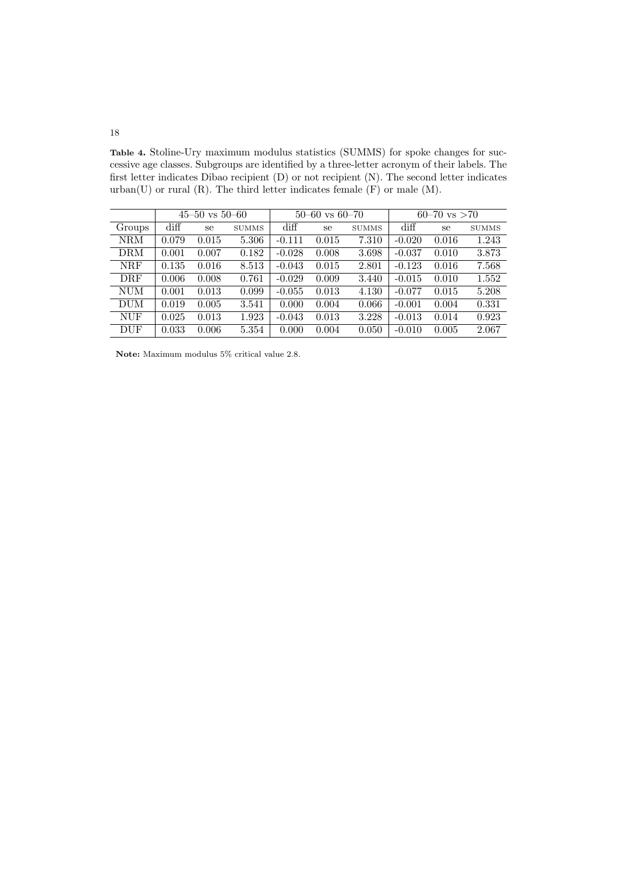Table 4. Stoline-Ury maximum modulus statistics (SUMMS) for spoke changes for successive age classes. Subgroups are identified by a three-letter acronym of their labels. The first letter indicates Dibao recipient (D) or not recipient (N). The second letter indicates urban(U) or rural  $(R)$ . The third letter indicates female  $(F)$  or male  $(M)$ .

|            | $45 - 50$ vs $50 - 60$ |       | $50-60$ vs $60-70$ |                 |       | $60 - 70$ vs $> 70$ |                 |       |              |
|------------|------------------------|-------|--------------------|-----------------|-------|---------------------|-----------------|-------|--------------|
| Groups     | diff                   | se    | <b>SUMMS</b>       | $\mathrm{diff}$ | se    | <b>SUMMS</b>        | $\mathrm{diff}$ | se    | <b>SUMMS</b> |
| <b>NRM</b> | 0.079                  | 0.015 | 5.306              | $-0.111$        | 0.015 | 7.310               | $-0.020$        | 0.016 | 1.243        |
| <b>DRM</b> | 0.001                  | 0.007 | 0.182              | $-0.028$        | 0.008 | 3.698               | $-0.037$        | 0.010 | 3.873        |
| <b>NRF</b> | 0.135                  | 0.016 | 8.513              | $-0.043$        | 0.015 | 2.801               | $-0.123$        | 0.016 | 7.568        |
| DRF        | 0.006                  | 0.008 | 0.761              | $-0.029$        | 0.009 | 3.440               | $-0.015$        | 0.010 | 1.552        |
| <b>NUM</b> | 0.001                  | 0.013 | 0.099              | $-0.055$        | 0.013 | 4.130               | $-0.077$        | 0.015 | 5.208        |
| <b>DUM</b> | 0.019                  | 0.005 | 3.541              | 0.000           | 0.004 | 0.066               | $-0.001$        | 0.004 | 0.331        |
| <b>NUF</b> | 0.025                  | 0.013 | 1.923              | $-0.043$        | 0.013 | 3.228               | $-0.013$        | 0.014 | 0.923        |
| <b>DUF</b> | 0.033                  | 0.006 | 5.354              | 0.000           | 0.004 | 0.050               | $-0.010$        | 0.005 | 2.067        |

Note: Maximum modulus 5% critical value 2.8.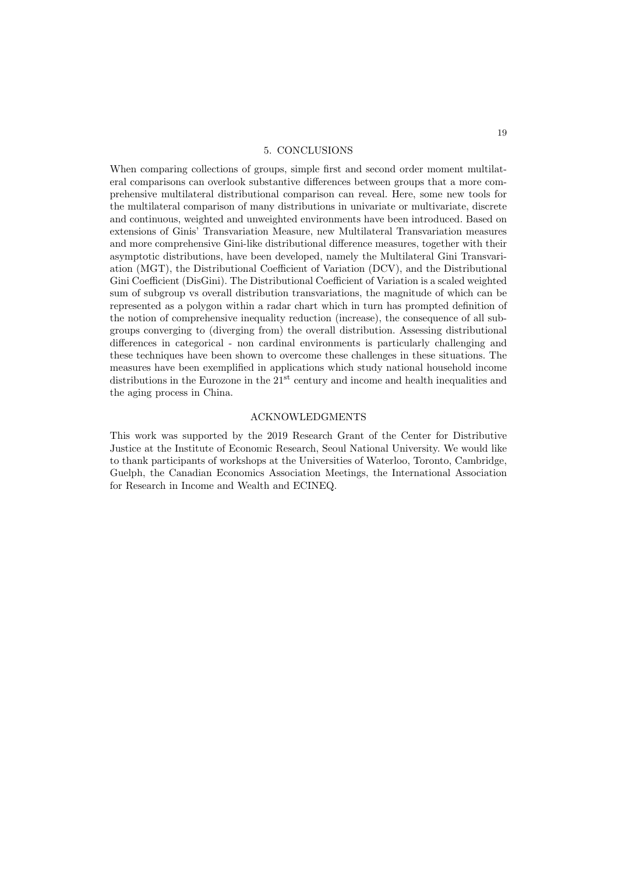#### 5. CONCLUSIONS

When comparing collections of groups, simple first and second order moment multilateral comparisons can overlook substantive differences between groups that a more comprehensive multilateral distributional comparison can reveal. Here, some new tools for the multilateral comparison of many distributions in univariate or multivariate, discrete and continuous, weighted and unweighted environments have been introduced. Based on extensions of Ginis' Transvariation Measure, new Multilateral Transvariation measures and more comprehensive Gini-like distributional difference measures, together with their asymptotic distributions, have been developed, namely the Multilateral Gini Transvariation (MGT), the Distributional Coefficient of Variation (DCV), and the Distributional Gini Coefficient (DisGini). The Distributional Coefficient of Variation is a scaled weighted sum of subgroup vs overall distribution transvariations, the magnitude of which can be represented as a polygon within a radar chart which in turn has prompted definition of the notion of comprehensive inequality reduction (increase), the consequence of all subgroups converging to (diverging from) the overall distribution. Assessing distributional differences in categorical - non cardinal environments is particularly challenging and these techniques have been shown to overcome these challenges in these situations. The measures have been exemplified in applications which study national household income distributions in the Eurozone in the  $21<sup>st</sup>$  century and income and health inequalities and the aging process in China.

## ACKNOWLEDGMENTS

This work was supported by the 2019 Research Grant of the Center for Distributive Justice at the Institute of Economic Research, Seoul National University. We would like to thank participants of workshops at the Universities of Waterloo, Toronto, Cambridge, Guelph, the Canadian Economics Association Meetings, the International Association for Research in Income and Wealth and ECINEQ.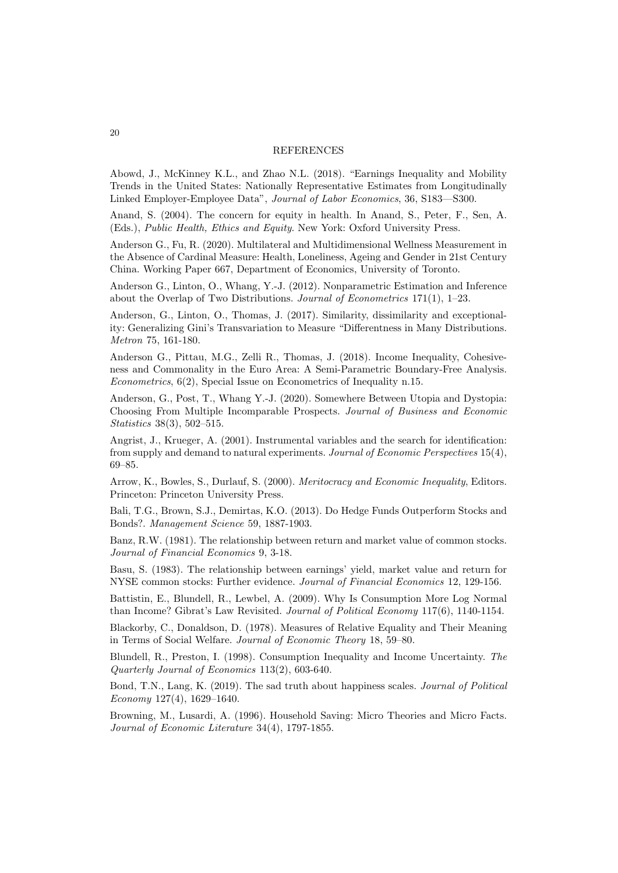#### REFERENCES

Abowd, J., McKinney K.L., and Zhao N.L. (2018). "Earnings Inequality and Mobility Trends in the United States: Nationally Representative Estimates from Longitudinally Linked Employer-Employee Data", Journal of Labor Economics, 36, S183—S300.

Anand, S. (2004). The concern for equity in health. In Anand, S., Peter, F., Sen, A. (Eds.), Public Health, Ethics and Equity. New York: Oxford University Press.

Anderson G., Fu, R. (2020). Multilateral and Multidimensional Wellness Measurement in the Absence of Cardinal Measure: Health, Loneliness, Ageing and Gender in 21st Century China. Working Paper 667, Department of Economics, University of Toronto.

Anderson G., Linton, O., Whang, Y.-J. (2012). Nonparametric Estimation and Inference about the Overlap of Two Distributions. Journal of Econometrics  $171(1)$ ,  $1-23$ .

Anderson, G., Linton, O., Thomas, J. (2017). Similarity, dissimilarity and exceptionality: Generalizing Gini's Transvariation to Measure "Differentness in Many Distributions. Metron 75, 161-180.

Anderson G., Pittau, M.G., Zelli R., Thomas, J. (2018). Income Inequality, Cohesiveness and Commonality in the Euro Area: A Semi-Parametric Boundary-Free Analysis. Econometrics, 6(2), Special Issue on Econometrics of Inequality n.15.

Anderson, G., Post, T., Whang Y.-J. (2020). Somewhere Between Utopia and Dystopia: Choosing From Multiple Incomparable Prospects. Journal of Business and Economic Statistics 38(3), 502–515.

Angrist, J., Krueger, A. (2001). Instrumental variables and the search for identification: from supply and demand to natural experiments. Journal of Economic Perspectives 15(4), 69–85.

Arrow, K., Bowles, S., Durlauf, S. (2000). Meritocracy and Economic Inequality, Editors. Princeton: Princeton University Press.

Bali, T.G., Brown, S.J., Demirtas, K.O. (2013). Do Hedge Funds Outperform Stocks and Bonds?. Management Science 59, 1887-1903.

Banz, R.W. (1981). The relationship between return and market value of common stocks. Journal of Financial Economics 9, 3-18.

Basu, S. (1983). The relationship between earnings' yield, market value and return for NYSE common stocks: Further evidence. Journal of Financial Economics 12, 129-156.

Battistin, E., Blundell, R., Lewbel, A. (2009). Why Is Consumption More Log Normal than Income? Gibrat's Law Revisited. Journal of Political Economy 117(6), 1140-1154.

Blackorby, C., Donaldson, D. (1978). Measures of Relative Equality and Their Meaning in Terms of Social Welfare. Journal of Economic Theory 18, 59–80.

Blundell, R., Preston, I. (1998). Consumption Inequality and Income Uncertainty. The Quarterly Journal of Economics 113(2), 603-640.

Bond, T.N., Lang, K. (2019). The sad truth about happiness scales. Journal of Political Economy 127(4), 1629–1640.

Browning, M., Lusardi, A. (1996). Household Saving: Micro Theories and Micro Facts. Journal of Economic Literature 34(4), 1797-1855.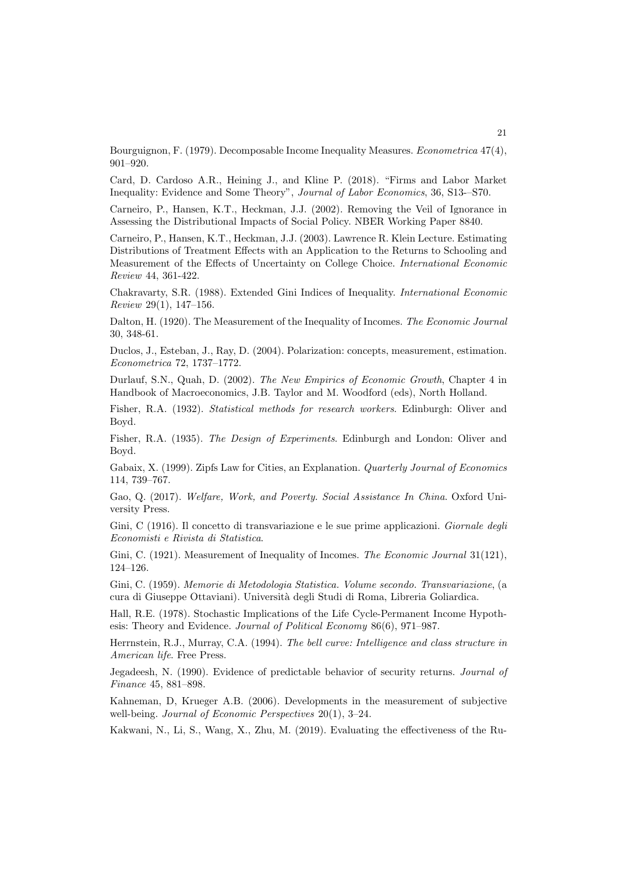Bourguignon, F. (1979). Decomposable Income Inequality Measures. Econometrica 47(4), 901–920.

Card, D. Cardoso A.R., Heining J., and Kline P. (2018). "Firms and Labor Market Inequality: Evidence and Some Theory", Journal of Labor Economics, 36, S13-–S70.

Carneiro, P., Hansen, K.T., Heckman, J.J. (2002). Removing the Veil of Ignorance in Assessing the Distributional Impacts of Social Policy. NBER Working Paper 8840.

Carneiro, P., Hansen, K.T., Heckman, J.J. (2003). Lawrence R. Klein Lecture. Estimating Distributions of Treatment Effects with an Application to the Returns to Schooling and Measurement of the Effects of Uncertainty on College Choice. International Economic Review 44, 361-422.

Chakravarty, S.R. (1988). Extended Gini Indices of Inequality. International Economic Review 29(1), 147–156.

Dalton, H. (1920). The Measurement of the Inequality of Incomes. The Economic Journal 30, 348-61.

Duclos, J., Esteban, J., Ray, D. (2004). Polarization: concepts, measurement, estimation. Econometrica 72, 1737–1772.

Durlauf, S.N., Quah, D. (2002). The New Empirics of Economic Growth, Chapter 4 in Handbook of Macroeconomics, J.B. Taylor and M. Woodford (eds), North Holland.

Fisher, R.A. (1932). Statistical methods for research workers. Edinburgh: Oliver and Boyd.

Fisher, R.A. (1935). The Design of Experiments. Edinburgh and London: Oliver and Boyd.

Gabaix, X. (1999). Zipfs Law for Cities, an Explanation. Quarterly Journal of Economics 114, 739–767.

Gao, Q. (2017). Welfare, Work, and Poverty. Social Assistance In China. Oxford University Press.

Gini, C (1916). Il concetto di transvariazione e le sue prime applicazioni. Giornale degli Economisti e Rivista di Statistica.

Gini, C. (1921). Measurement of Inequality of Incomes. The Economic Journal 31(121), 124–126.

Gini, C. (1959). Memorie di Metodologia Statistica. Volume secondo. Transvariazione, (a cura di Giuseppe Ottaviani). Universit`a degli Studi di Roma, Libreria Goliardica.

Hall, R.E. (1978). Stochastic Implications of the Life Cycle-Permanent Income Hypothesis: Theory and Evidence. Journal of Political Economy 86(6), 971–987.

Herrnstein, R.J., Murray, C.A. (1994). The bell curve: Intelligence and class structure in American life. Free Press.

Jegadeesh, N. (1990). Evidence of predictable behavior of security returns. Journal of Finance 45, 881–898.

Kahneman, D, Krueger A.B. (2006). Developments in the measurement of subjective well-being. Journal of Economic Perspectives 20(1), 3–24.

Kakwani, N., Li, S., Wang, X., Zhu, M. (2019). Evaluating the effectiveness of the Ru-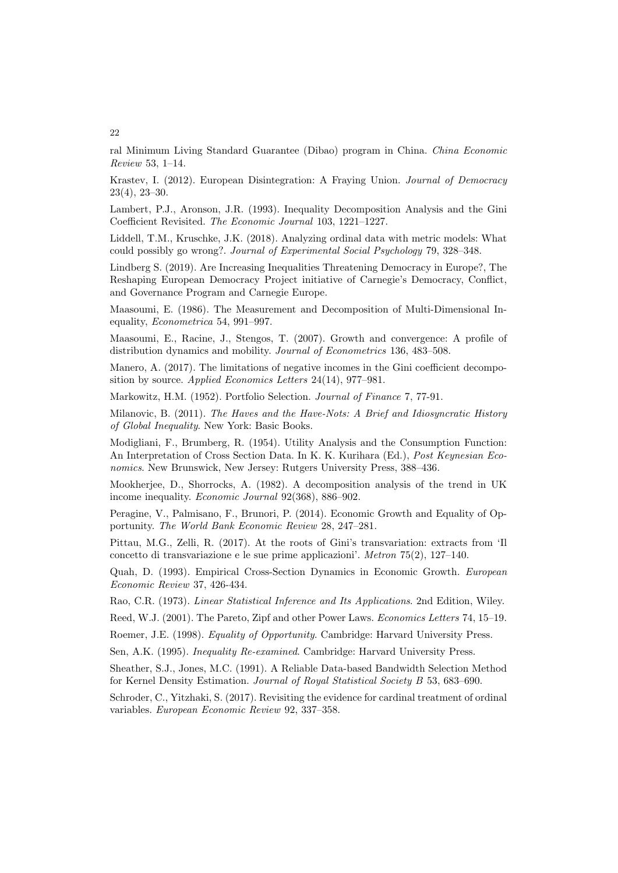ral Minimum Living Standard Guarantee (Dibao) program in China. China Economic Review 53, 1–14.

Krastev, I. (2012). European Disintegration: A Fraying Union. Journal of Democracy 23(4), 23–30.

Lambert, P.J., Aronson, J.R. (1993). Inequality Decomposition Analysis and the Gini Coefficient Revisited. The Economic Journal 103, 1221–1227.

Liddell, T.M., Kruschke, J.K. (2018). Analyzing ordinal data with metric models: What could possibly go wrong?. Journal of Experimental Social Psychology 79, 328–348.

Lindberg S. (2019). Are Increasing Inequalities Threatening Democracy in Europe?, The Reshaping European Democracy Project initiative of Carnegie's Democracy, Conflict, and Governance Program and Carnegie Europe.

Maasoumi, E. (1986). The Measurement and Decomposition of Multi-Dimensional Inequality, Econometrica 54, 991–997.

Maasoumi, E., Racine, J., Stengos, T. (2007). Growth and convergence: A profile of distribution dynamics and mobility. Journal of Econometrics 136, 483–508.

Manero, A. (2017). The limitations of negative incomes in the Gini coefficient decomposition by source. Applied Economics Letters 24(14), 977–981.

Markowitz, H.M. (1952). Portfolio Selection. Journal of Finance 7, 77-91.

Milanovic, B. (2011). The Haves and the Have-Nots: A Brief and Idiosyncratic History of Global Inequality. New York: Basic Books.

Modigliani, F., Brumberg, R. (1954). Utility Analysis and the Consumption Function: An Interpretation of Cross Section Data. In K. K. Kurihara (Ed.), Post Keynesian Economics. New Brunswick, New Jersey: Rutgers University Press, 388–436.

Mookherjee, D., Shorrocks, A. (1982). A decomposition analysis of the trend in UK income inequality. Economic Journal 92(368), 886–902.

Peragine, V., Palmisano, F., Brunori, P. (2014). Economic Growth and Equality of Opportunity. The World Bank Economic Review 28, 247–281.

Pittau, M.G., Zelli, R. (2017). At the roots of Gini's transvariation: extracts from 'Il concetto di transvariazione e le sue prime applicazioni'. Metron 75(2), 127–140.

Quah, D. (1993). Empirical Cross-Section Dynamics in Economic Growth. European Economic Review 37, 426-434.

Rao, C.R. (1973). Linear Statistical Inference and Its Applications. 2nd Edition, Wiley.

Reed, W.J. (2001). The Pareto, Zipf and other Power Laws. Economics Letters 74, 15–19.

Roemer, J.E. (1998). Equality of Opportunity. Cambridge: Harvard University Press.

Sen, A.K. (1995). Inequality Re-examined. Cambridge: Harvard University Press.

Sheather, S.J., Jones, M.C. (1991). A Reliable Data-based Bandwidth Selection Method for Kernel Density Estimation. Journal of Royal Statistical Society B 53, 683–690.

Schroder, C., Yitzhaki, S. (2017). Revisiting the evidence for cardinal treatment of ordinal variables. European Economic Review 92, 337–358.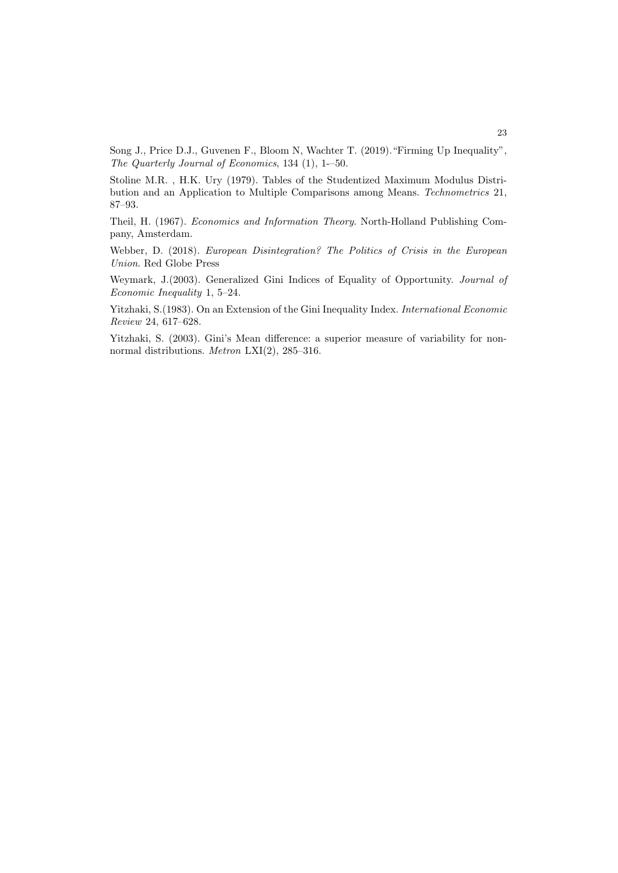Song J., Price D.J., Guvenen F., Bloom N, Wachter T. (2019)."Firming Up Inequality", The Quarterly Journal of Economics, 134 (1), 1-–50.

Stoline M.R. , H.K. Ury (1979). Tables of the Studentized Maximum Modulus Distribution and an Application to Multiple Comparisons among Means. Technometrics 21, 87–93.

Theil, H. (1967). Economics and Information Theory. North-Holland Publishing Company, Amsterdam.

Webber, D. (2018). European Disintegration? The Politics of Crisis in the European Union. Red Globe Press

Weymark, J.(2003). Generalized Gini Indices of Equality of Opportunity. Journal of Economic Inequality 1, 5–24.

Yitzhaki, S.(1983). On an Extension of the Gini Inequality Index. International Economic Review 24, 617–628.

Yitzhaki, S. (2003). Gini's Mean difference: a superior measure of variability for nonnormal distributions. Metron LXI(2), 285–316.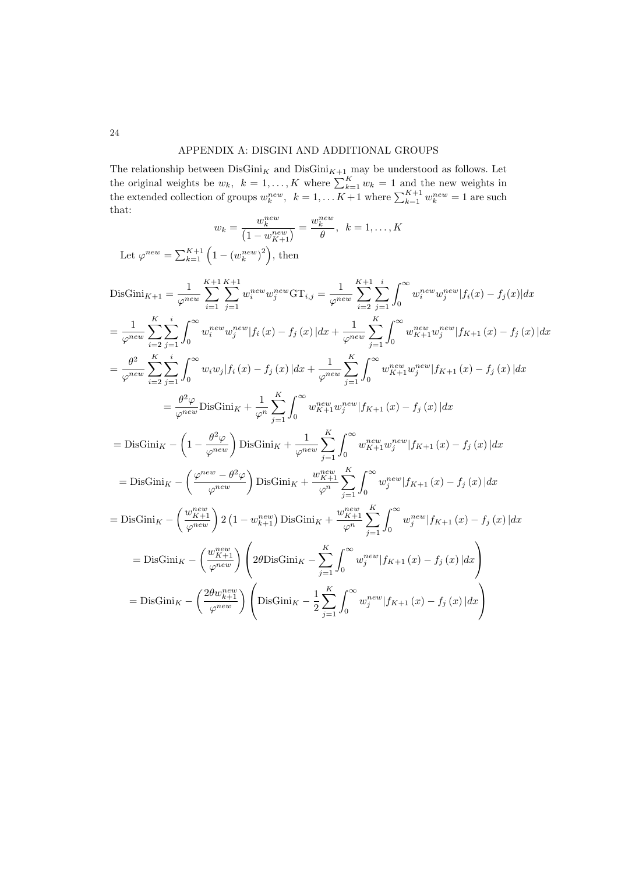## APPENDIX A: DISGINI AND ADDITIONAL GROUPS

The relationship between  $\text{DisGini}_{K}$  and  $\text{DisGini}_{K+1}$  may be understood as follows. Let the original weights be  $w_k$ ,  $k = 1, ..., K$  where  $\sum_{k=1}^{K} w_k = 1$  and the new weights in the extended collection of groups  $w_k^{new}$ ,  $k = 1, ..., K+1$  where  $\sum_{k=1}^{K+1} w_k^{new} = 1$  are such that:

$$
w_k = \frac{w_k^{new}}{(1 - w_{K+1}^{new})} = \frac{w_k^{new}}{\theta}, \ \ k = 1, ..., K
$$

Let  $\varphi^{new} = \sum_{k=1}^{K+1} \left( 1 - \left( w_k^{new} \right)^2 \right)$ , then

$$
\begin{split} &\text{DisGini}_{K+1} = \frac{1}{\varphi^{new}} \sum_{i=1}^{K+1} \sum_{j=1}^{K+1} w_{j}^{new} w_{j}^{new} \text{GT}_{i,j} = \frac{1}{\varphi^{new}} \sum_{i=2}^{K+1} \sum_{j=1}^{i} \int_{0}^{\infty} w_{i}^{new} w_{j}^{new} |f_{i}(x) - f_{j}(x)| dx \\ &= \frac{1}{\varphi^{new}} \sum_{i=2}^{K} \sum_{j=1}^{i} \int_{0}^{\infty} w_{i}^{new} w_{j}^{new} |f_{i}(x) - f_{j}(x)| dx + \frac{1}{\varphi^{new}} \sum_{j=1}^{K} \int_{0}^{\infty} w_{K+1}^{new} w_{j}^{new} |f_{K+1}(x) - f_{j}(x)| dx \\ &= \frac{\theta^{2}}{\varphi^{new}} \sum_{i=2}^{K} \sum_{j=1}^{i} \int_{0}^{\infty} w_{i} w_{j} |f_{i}(x) - f_{j}(x)| dx + \frac{1}{\varphi^{new}} \sum_{j=1}^{K} \int_{0}^{\infty} w_{K+1}^{new} w_{j}^{new} |f_{K+1}(x) - f_{j}(x)| dx \\ &= \frac{\theta^{2} \varphi}{\varphi^{new}} \text{DisGini}_{K} + \frac{1}{\varphi^{n}} \sum_{j=1}^{K} \int_{0}^{\infty} w_{K+1}^{new} w_{j}^{new} |f_{K+1}(x) - f_{j}(x)| dx \\ &= \text{DisGini}_{K} - \left(1 - \frac{\theta^{2} \varphi}{\varphi^{new}}\right) \text{DisGini}_{K} + \frac{1}{\varphi^{new}} \sum_{j=1}^{K} \int_{0}^{\infty} w_{K+1}^{new} w_{j}^{new} |f_{K+1}(x) - f_{j}(x)| dx \\ &= \text{DisGini}_{K} - \left(\frac{\varphi^{new}}{\varphi^{new}}\right) \text{DisGini}_{K} + \frac{w_{K+1}^{new}}{\varphi^{n}} \sum_{j=1}^{K} \int_{0}^{\infty} w_{j}^{new} |f_{K+1}(x) - f_{j}(x)| dx \\ &= \text{DisGini}_{K} - \left(\frac{w_{K+1}^{new}}{\varphi^{new}}\right)
$$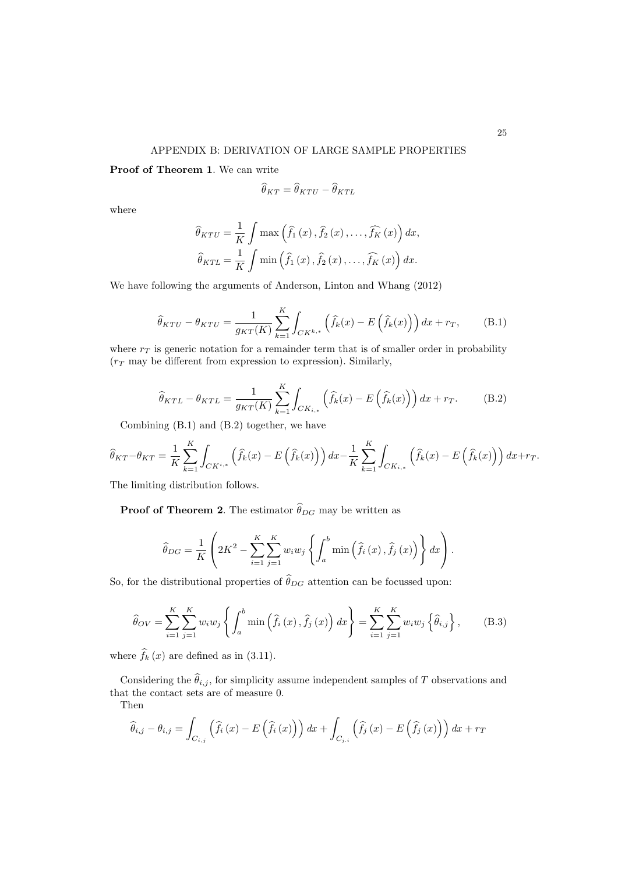Proof of Theorem 1. We can write

$$
\widehat{\theta}_{KT} = \widehat{\theta}_{KTU} - \widehat{\theta}_{KTL}
$$

where

$$
\widehat{\theta}_{KTU} = \frac{1}{K} \int \max \left( \widehat{f}_1(x), \widehat{f}_2(x), \dots, \widehat{f}_K(x) \right) dx,
$$

$$
\widehat{\theta}_{KTU} = \frac{1}{K} \int \min \left( \widehat{f}_1(x), \widehat{f}_2(x), \dots, \widehat{f}_K(x) \right) dx.
$$

We have following the arguments of Anderson, Linton and Whang (2012)

$$
\widehat{\theta}_{KTU} - \theta_{KTU} = \frac{1}{g_{KT}(K)} \sum_{k=1}^{K} \int_{CK^{k,*}} \left( \widehat{f}_k(x) - E\left(\widehat{f}_k(x)\right) \right) dx + r_T, \tag{B.1}
$$

where  $r<sub>T</sub>$  is generic notation for a remainder term that is of smaller order in probability  $(r_T$  may be different from expression to expression). Similarly,

$$
\widehat{\theta}_{KTL} - \theta_{KTL} = \frac{1}{g_{KT}(K)} \sum_{k=1}^{K} \int_{CK_{i,*}} \left( \widehat{f}_k(x) - E\left(\widehat{f}_k(x)\right) \right) dx + r_T. \tag{B.2}
$$

Combining (B.1) and (B.2) together, we have

$$
\widehat{\theta}_{KT} - \theta_{KT} = \frac{1}{K} \sum_{k=1}^{K} \int_{CK^{i,*}} (\widehat{f}_k(x) - E(\widehat{f}_k(x))) dx - \frac{1}{K} \sum_{k=1}^{K} \int_{CK_{i,*}} (\widehat{f}_k(x) - E(\widehat{f}_k(x))) dx + r_T.
$$

The limiting distribution follows.

**Proof of Theorem 2.** The estimator  $\widehat{\theta}_{DG}$  may be written as

$$
\widehat{\theta}_{DG} = \frac{1}{K} \left( 2K^2 - \sum_{i=1}^{K} \sum_{j=1}^{K} w_i w_j \left\{ \int_a^b \min \left( \widehat{f}_i(x), \widehat{f}_j(x) \right) \right\} dx \right).
$$

So, for the distributional properties of  $\widehat{\theta}_{DG}$  attention can be focussed upon:

$$
\widehat{\theta}_{OV} = \sum_{i=1}^{K} \sum_{j=1}^{K} w_i w_j \left\{ \int_a^b \min \left( \widehat{f}_i(x), \widehat{f}_j(x) \right) dx \right\} = \sum_{i=1}^{K} \sum_{j=1}^{K} w_i w_j \left\{ \widehat{\theta}_{i,j} \right\}, \quad (B.3)
$$

where  $\hat{f}_k(x)$  are defined as in (3.11).

Considering the  $\widehat{\theta}_{i,j}$ , for simplicity assume independent samples of T observations and that the contact sets are of measure 0.

Then

$$
\widehat{\theta}_{i,j} - \theta_{i,j} = \int_{C_{i,j}} \left( \widehat{f}_i(x) - E\left(\widehat{f}_i(x)\right) \right) dx + \int_{C_{j,i}} \left( \widehat{f}_j(x) - E\left(\widehat{f}_j(x)\right) \right) dx + r_T
$$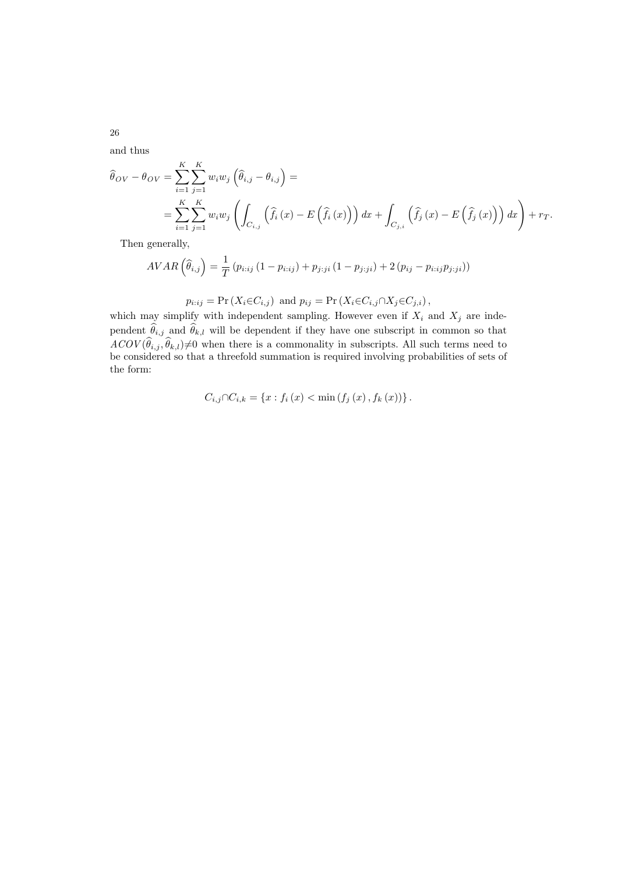and thus

$$
\widehat{\theta}_{OV} - \theta_{OV} = \sum_{i=1}^{K} \sum_{j=1}^{K} w_i w_j \left( \widehat{\theta}_{i,j} - \theta_{i,j} \right) =
$$
\n
$$
= \sum_{i=1}^{K} \sum_{j=1}^{K} w_i w_j \left( \int_{C_{i,j}} \left( \widehat{f}_i(x) - E\left( \widehat{f}_i(x) \right) \right) dx + \int_{C_{j,i}} \left( \widehat{f}_j(x) - E\left( \widehat{f}_j(x) \right) \right) dx \right) + r_T.
$$

Then generally,

$$
AVAR\left(\widehat{\theta}_{i,j}\right) = \frac{1}{T} \left(p_{i:ij} \left(1 - p_{i:ij}\right) + p_{j:ji} \left(1 - p_{j:ji}\right) + 2\left(p_{ij} - p_{i:ij}p_{j:ji}\right)\right)
$$

$$
p_{i:ij} = \Pr(X_i \in C_{i,j}) \text{ and } p_{ij} = \Pr(X_i \in C_{i,j} \cap X_j \in C_{j,i}),
$$

which may simplify with independent sampling. However even if  $X_i$  and  $X_j$  are independent  $\theta_{i,j}$  and  $\theta_{k,l}$  will be dependent if they have one subscript in common so that  $ACOV(\theta_{i,j}, \theta_{k,l}) \neq 0$  when there is a commonality in subscripts. All such terms need to be considered so that a threefold summation is required involving probabilities of sets of the form:

$$
C_{i,j} \cap C_{i,k} = \{x : f_i(x) < \min(f_j(x), f_k(x))\}.
$$

26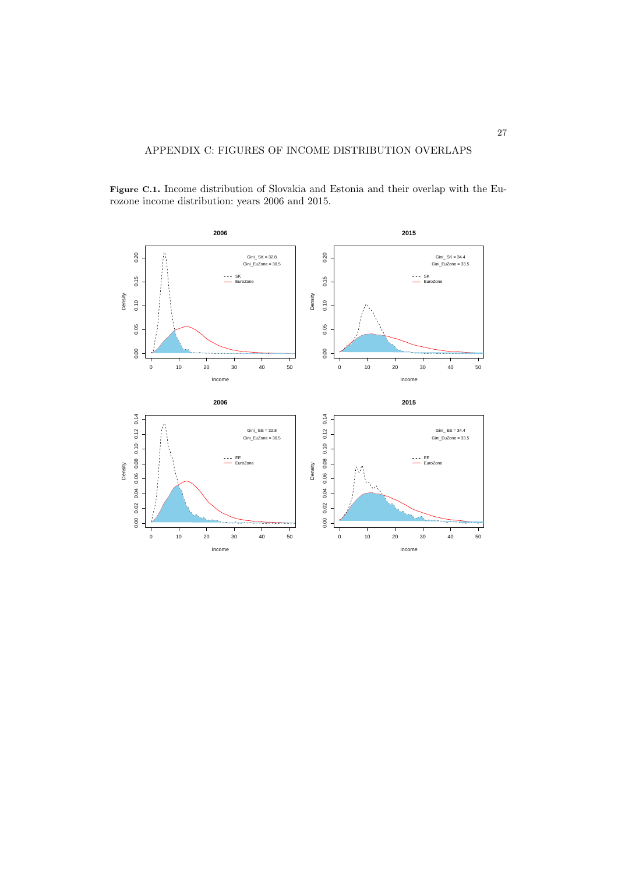**2006 2015** 0.20 Ä 0.20 0.00 0.05 0.10 0.15 0.20 0.00 0.05 0.10 0.15 0.20 Gini\_ SK = 32.8 Gini\_EuZone = 30.5 Gini\_ SK = 34.4 Gini\_EuZone = 33.5 0.15  $0.15$ SK EuroZone SK EuroZone Density Density 0.10  $0.10$ 0.05 0.05  $0.00$  $0.00$ 0 10 20 30 40 50 0 10 20 30 40 50 Income Income **2006 2015** 0.00 0.02 0.04 0.06 0.08 0.10 0.12 0.14 0.06 0.08 0.10 0.12 0.14 0.00 0.02 0.04 0.06 0.08 0.10 0.12 0.14 0.00 0.02 0.04 0.06 0.08 0.10 0.12 0.14 Gini\_ EE = 32.8 Gini\_EuZone = 30.5 Gini\_ EE = 34.4 Gini\_EuZone = 33.5 EE EE Density Density EuroZone EuroZone $0.00\quad 0.02\quad 0.04$ l. 0 10 20 30 40 50 0 10 20 30 40 50 Income Income

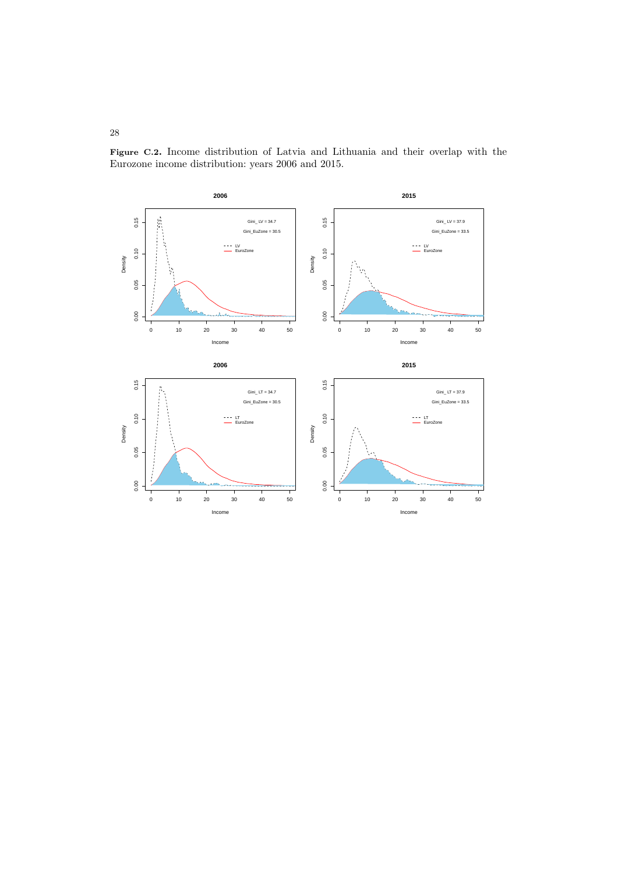

Figure C.2. Income distribution of Latvia and Lithuania and their overlap with the Eurozone income distribution: years 2006 and 2015.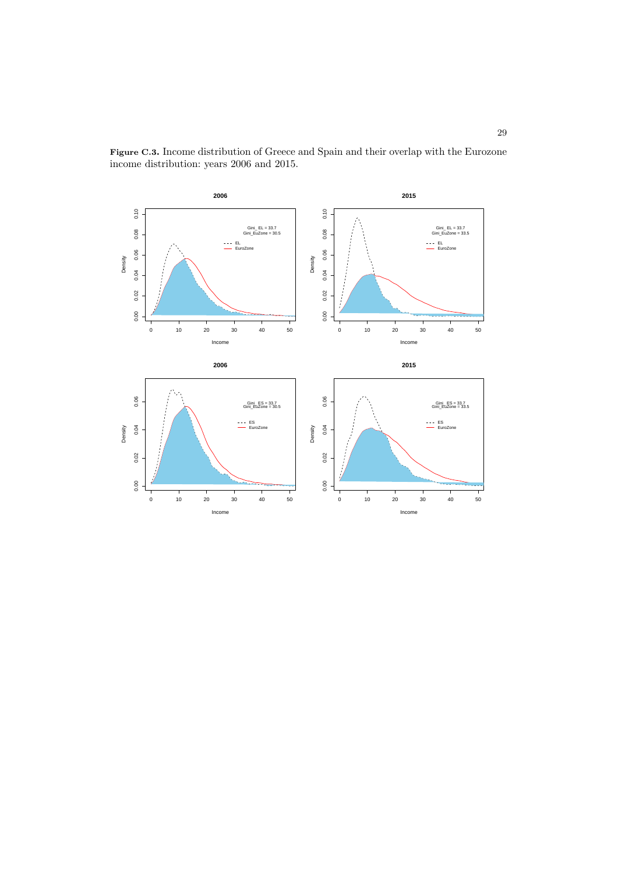

Figure C.3. Income distribution of Greece and Spain and their overlap with the Eurozone income distribution: years 2006 and 2015.